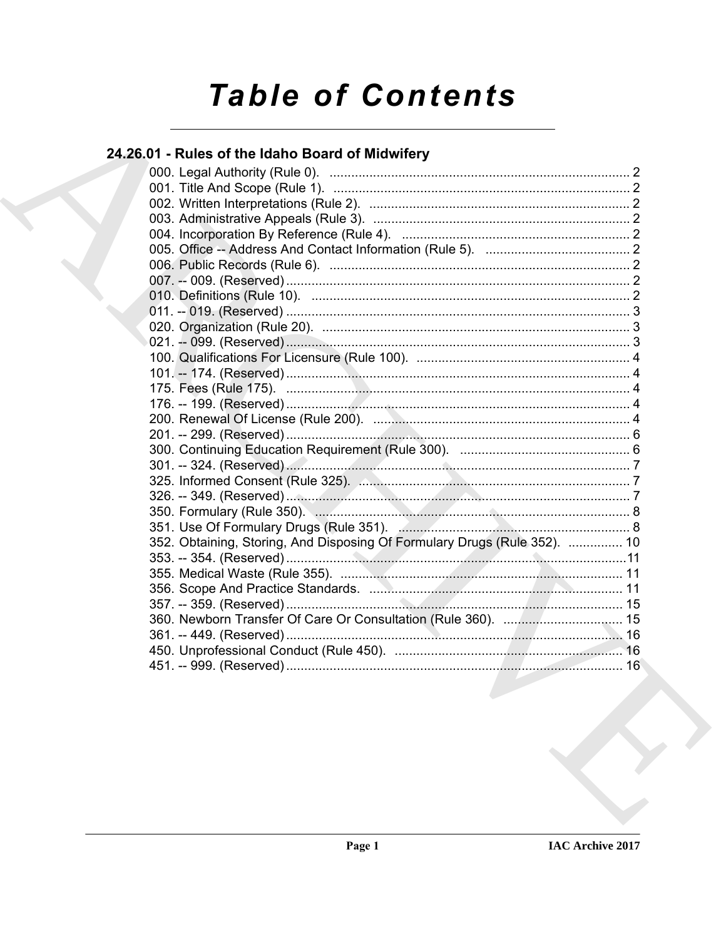# **Table of Contents**

# 24.26.01 - Rules of the Idaho Board of Midwifery

| 352. Obtaining, Storing, And Disposing Of Formulary Drugs (Rule 352).  10<br>360. Newborn Transfer Of Care Or Consultation (Rule 360).  15 |  |  |
|--------------------------------------------------------------------------------------------------------------------------------------------|--|--|
|                                                                                                                                            |  |  |
|                                                                                                                                            |  |  |
|                                                                                                                                            |  |  |
|                                                                                                                                            |  |  |
|                                                                                                                                            |  |  |
|                                                                                                                                            |  |  |
|                                                                                                                                            |  |  |
|                                                                                                                                            |  |  |
|                                                                                                                                            |  |  |
|                                                                                                                                            |  |  |
|                                                                                                                                            |  |  |
|                                                                                                                                            |  |  |
|                                                                                                                                            |  |  |
|                                                                                                                                            |  |  |
|                                                                                                                                            |  |  |
|                                                                                                                                            |  |  |
|                                                                                                                                            |  |  |
|                                                                                                                                            |  |  |
|                                                                                                                                            |  |  |
|                                                                                                                                            |  |  |
|                                                                                                                                            |  |  |
|                                                                                                                                            |  |  |
|                                                                                                                                            |  |  |
|                                                                                                                                            |  |  |
|                                                                                                                                            |  |  |
|                                                                                                                                            |  |  |
|                                                                                                                                            |  |  |
|                                                                                                                                            |  |  |
|                                                                                                                                            |  |  |
|                                                                                                                                            |  |  |
|                                                                                                                                            |  |  |
|                                                                                                                                            |  |  |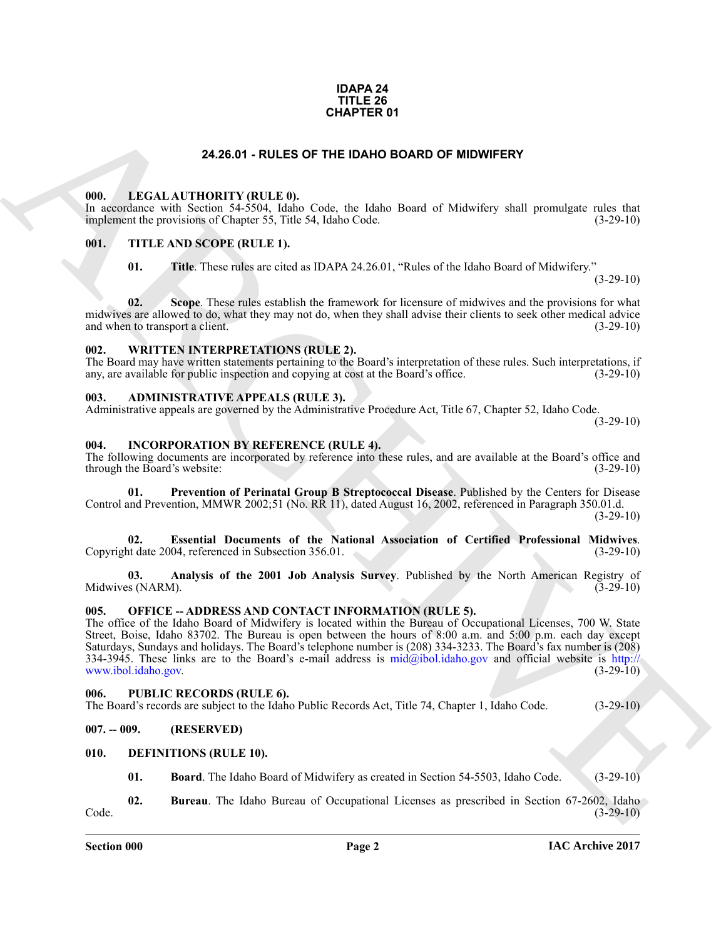### **IDAPA 24 TITLE 26 CHAPTER 01**

# **24.26.01 - RULES OF THE IDAHO BOARD OF MIDWIFERY**

# <span id="page-1-1"></span><span id="page-1-0"></span>**000. LEGAL AUTHORITY (RULE 0).**

In accordance with Section 54- $\overline{5}504$ , Idaho Code, the Idaho Board of Midwifery shall promulgate rules that implement the provisions of Chapter 55, Title 54, Idaho Code. (3-29-10) implement the provisions of Chapter 55, Title 54, Idaho Code.

# <span id="page-1-2"></span>**001. TITLE AND SCOPE (RULE 1).**

**01. Title**. These rules are cited as IDAPA 24.26.01, "Rules of the Idaho Board of Midwifery."

 $(3-29-10)$ 

**02.** Scope. These rules establish the framework for licensure of midwives and the provisions for what midwives are allowed to do, what they may not do, when they shall advise their clients to seek other medical advice and when to transport a client. (3-29-10) and when to transport a client.

### <span id="page-1-3"></span>**002. WRITTEN INTERPRETATIONS (RULE 2).**

The Board may have written statements pertaining to the Board's interpretation of these rules. Such interpretations, if any, are available for public inspection and copying at cost at the Board's office. (3-29-10)

# <span id="page-1-4"></span>**003. ADMINISTRATIVE APPEALS (RULE 3).**

Administrative appeals are governed by the Administrative Procedure Act, Title 67, Chapter 52, Idaho Code.  $(3-29-10)$ 

# <span id="page-1-13"></span><span id="page-1-5"></span>**004. INCORPORATION BY REFERENCE (RULE 4).**

The following documents are incorporated by reference into these rules, and are available at the Board's office and through the Board's website: (3-29-10) through the Board's website:

<span id="page-1-16"></span>**01. Prevention of Perinatal Group B Streptococcal Disease**. Published by the Centers for Disease Control and Prevention, MMWR 2002;51 (No. RR 11), dated August 16, 2002, referenced in Paragraph 350.01.d.  $(3-29-10)$ 

<span id="page-1-15"></span>**02. Essential Documents of the National Association of Certified Professional Midwives**. Copyright date 2004, referenced in Subsection 356.01.

<span id="page-1-14"></span>**03.** Analysis of the 2001 Job Analysis Survey. Published by the North American Registry of s (NARM). (3-29-10) Midwives (NARM).

### <span id="page-1-6"></span>**005. OFFICE -- ADDRESS AND CONTACT INFORMATION (RULE 5).**

**24.26.01 - FOL[E](http://www.ibol.idaho.gov)O BY-RETER FOTO CONTOUR CONTOUR CONTOUR CONTOUR CONTOUR CONTOUR CONTOUR CONTOUR CONTOUR CONTOUR CONTOUR CONTOUR CONTOUR CONTOUR CONTOUR CONTOUR CONTOUR CONTOUR CONTOUR CONTOUR CONTOUR CONTOUR CONTOUR CONTO** The office of the Idaho Board of Midwifery is located within the Bureau of Occupational Licenses, 700 W. State Street, Boise, Idaho 83702. The Bureau is open between the hours of 8:00 a.m. and 5:00 p.m. each day except Saturdays, Sundays and holidays. The Board's telephone number is (208) 334-3233. The Board's fax number is (208) 334-3945. These links are to the Board's e-mail address is mid@ibol.idaho.gov and official website is http://<br>www.ibol.idaho.gov.  $(3-29-10)$ www.ibol.idaho.gov.

### <span id="page-1-7"></span>**006. PUBLIC RECORDS (RULE 6).**

The Board's records are subject to the Idaho Public Records Act, Title 74, Chapter 1, Idaho Code. (3-29-10)

# <span id="page-1-8"></span>**007. -- 009. (RESERVED)**

# <span id="page-1-9"></span>**010. DEFINITIONS (RULE 10).**

<span id="page-1-12"></span><span id="page-1-11"></span><span id="page-1-10"></span>**01. Board**. The Idaho Board of Midwifery as created in Section 54-5503, Idaho Code. (3-29-10)

**02.** Bureau. The Idaho Bureau of Occupational Licenses as prescribed in Section 67-2602, Idaho (3-29-10)  $\text{Code.} \tag{3-29-10}$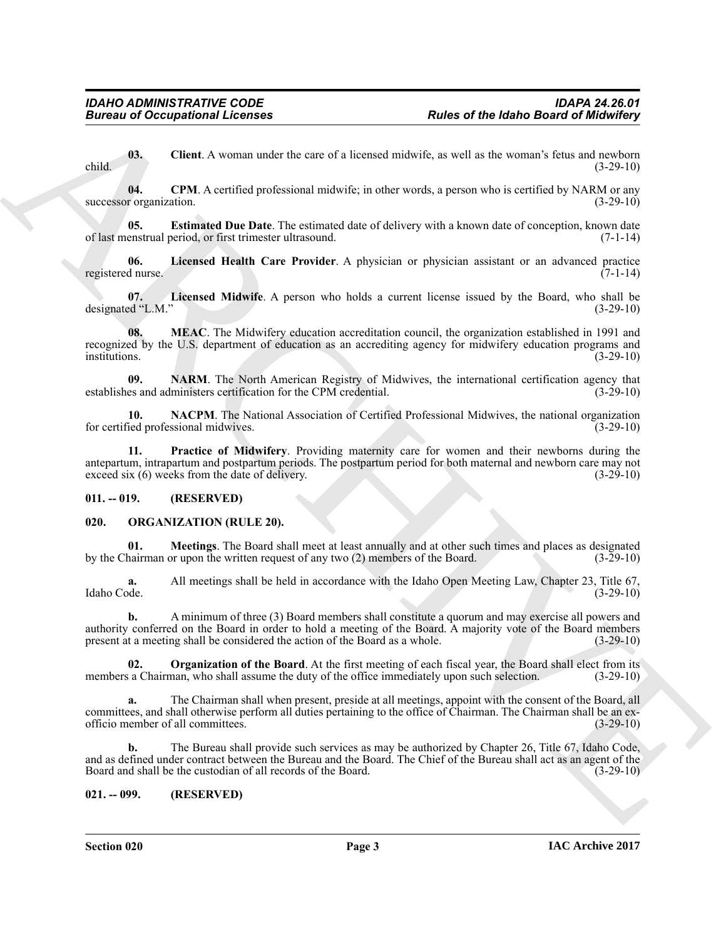<span id="page-2-3"></span>**03.** Client. A woman under the care of a licensed midwife, as well as the woman's fetus and newborn (3-29-10) child. (3-29-10)

<span id="page-2-4"></span>**04.** CPM. A certified professional midwife; in other words, a person who is certified by NARM or any r organization. (3-29-10) successor organization.

<span id="page-2-5"></span>**05. Estimated Due Date**. The estimated date of delivery with a known date of conception, known date of last menstrual period, or first trimester ultrasound. (7-1-14)

<span id="page-2-6"></span>**06.** Licensed Health Care Provider. A physician or physician assistant or an advanced practice d nurse. (7-1-14) registered nurse.

<span id="page-2-7"></span>**07. Licensed Midwife**. A person who holds a current license issued by the Board, who shall be designated "L.M." (3-29-10)

<span id="page-2-8"></span>**08. MEAC**. The Midwifery education accreditation council, the organization established in 1991 and recognized by the U.S. department of education as an accrediting agency for midwifery education programs and institutions. (3-29-10)

<span id="page-2-10"></span>**09. NARM**. The North American Registry of Midwives, the international certification agency that es and administers certification for the CPM credential. (3-29-10) establishes and administers certification for the CPM credential.

<span id="page-2-9"></span>**10. NACPM**. The National Association of Certified Professional Midwives, the national organization for certified professional midwives. (3-29-10)

<span id="page-2-11"></span>**11. Practice of Midwifery**. Providing maternity care for women and their newborns during the antepartum, intrapartum and postpartum periods. The postpartum period for both maternal and newborn care may not exceed six (6) weeks from the date of delivery. exceed six  $(6)$  weeks from the date of delivery.

# <span id="page-2-0"></span>**011. -- 019. (RESERVED)**

# <span id="page-2-12"></span><span id="page-2-1"></span>**020. ORGANIZATION (RULE 20).**

<span id="page-2-13"></span>**01. Meetings**. The Board shall meet at least annually and at other such times and places as designated hairman or upon the written request of any two (2) members of the Board. (3-29-10) by the Chairman or upon the written request of any two  $(2)$  members of the Board.

**a.** All meetings shall be held in accordance with the Idaho Open Meeting Law, Chapter 23, Title 67, Idaho Code.  $(3-29-10)$ Idaho Code. (3-29-10)

**Eurosis of Occupations I. Forming the same of a linear state of the Idabe Based of Michaires'**<br>
Out. Client, A sound out to can of a linear state and out to promote so well as the sound is lead a line to the<br>
necessary o **b.** A minimum of three (3) Board members shall constitute a quorum and may exercise all powers and authority conferred on the Board in order to hold a meeting of the Board. A majority vote of the Board members present at a meeting shall be considered the action of the Board as a whole. (3-29-10)

<span id="page-2-14"></span>**02. Organization of the Board**. At the first meeting of each fiscal year, the Board shall elect from its a Chairman, who shall assume the duty of the office immediately upon such selection. (3-29-10) members a Chairman, who shall assume the duty of the office immediately upon such selection.

**a.** The Chairman shall when present, preside at all meetings, appoint with the consent of the Board, all committees, and shall otherwise perform all duties pertaining to the office of Chairman. The Chairman shall be an ex-<br>officio member of all committees. (3-29-10) officio member of all committees.

**b.** The Bureau shall provide such services as may be authorized by Chapter 26, Title 67, Idaho Code, and as defined under contract between the Bureau and the Board. The Chief of the Bureau shall act as an agent of the Board and shall be the custodian of all records of the Board. (3-29-10) Board and shall be the custodian of all records of the Board.

# <span id="page-2-2"></span>**021. -- 099. (RESERVED)**

**Section 020 Page 3**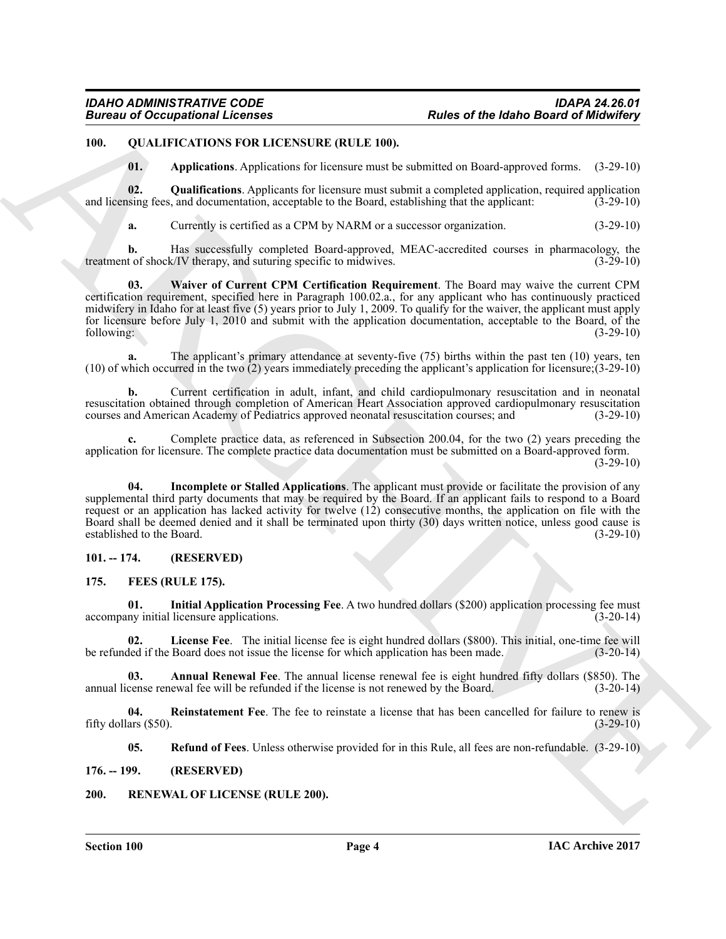# <span id="page-3-0"></span>**100. QUALIFICATIONS FOR LICENSURE (RULE 100).**

<span id="page-3-14"></span><span id="page-3-12"></span><span id="page-3-11"></span>**01. Applications**. Applications for licensure must be submitted on Board-approved forms. (3-29-10)

**02. Qualifications**. Applicants for licensure must submit a completed application, required application and licensing fees, and documentation, acceptable to the Board, establishing that the applicant: (3-29-10)

<span id="page-3-15"></span>**a.** Currently is certified as a CPM by NARM or a successor organization. (3-29-10)

**b.** Has successfully completed Board-approved, MEAC-accredited courses in pharmacology, the t of shock/IV therapy, and suturing specific to midwives.  $(3-29-10)$ treatment of shock/IV therapy, and suturing specific to midwives.

**Eurosia of Occupations I Licensins**<br> **ARRC: ARCHIVE (III, LE 110).**<br> **ARRC: ARCHIVE (III, LE 110).**<br> **ARCHIVE (III, LE 110).**<br> **ARCHIVE CONTINUES FOR THE CONTINUES OF THE CONTINUES OF THE CONTINUES OF THE CONTINUES O 03. Waiver of Current CPM Certification Requirement**. The Board may waive the current CPM certification requirement, specified here in Paragraph 100.02.a., for any applicant who has continuously practiced midwifery in Idaho for at least five (5) years prior to July 1, 2009. To qualify for the waiver, the applicant must apply for licensure before July 1, 2010 and submit with the application documentation, acceptable to the Board, of the following:<br>
(3-29-10) following: (3-29-10)

**a.** The applicant's primary attendance at seventy-five (75) births within the past ten (10) years, ten (10) of which occurred in the two (2) years immediately preceding the applicant's application for licensure;(3-29-10)

**b.** Current certification in adult, infant, and child cardiopulmonary resuscitation and in neonatal resuscitation obtained through completion of American Heart Association approved cardiopulmonary resuscitation courses and American Academy of Pediatrics approved neonatal resuscitation courses; and (3-29-10) courses and American Academy of Pediatrics approved neonatal resuscitation courses; and

**c.** Complete practice data, as referenced in Subsection 200.04, for the two (2) years preceding the application for licensure. The complete practice data documentation must be submitted on a Board-approved form.  $(3-29-10)$ 

<span id="page-3-13"></span>**04. Incomplete or Stalled Applications**. The applicant must provide or facilitate the provision of any supplemental third party documents that may be required by the Board. If an applicant fails to respond to a Board request or an application has lacked activity for twelve (12) consecutive months, the application on file with the Board shall be deemed denied and it shall be terminated upon thirty (30) days written notice, unless good cause is established to the Board. (3-29-10)

# <span id="page-3-1"></span>**101. -- 174. (RESERVED)**

# <span id="page-3-5"></span><span id="page-3-2"></span>**175. FEES (RULE 175).**

<span id="page-3-7"></span>**01. Initial Application Processing Fee**. A two hundred dollars (\$200) application processing fee must accompany initial licensure applications.

<span id="page-3-8"></span>**02.** License Fee. The initial license fee is eight hundred dollars (\$800). This initial, one-time fee will led if the Board does not issue the license for which application has been made. (3-20-14) be refunded if the Board does not issue the license for which application has been made.

<span id="page-3-6"></span>**03. Annual Renewal Fee**. The annual license renewal fee is eight hundred fifty dollars (\$850). The cense renewal fee will be refunded if the license is not renewed by the Board. (3-20-14) annual license renewal fee will be refunded if the license is not renewed by the Board.

**04.** Reinstatement Fee. The fee to reinstate a license that has been cancelled for failure to renew is ars (\$50). (3-29-10) fifty dollars  $(\$50)$ .

<span id="page-3-16"></span><span id="page-3-10"></span><span id="page-3-9"></span>**05. Refund of Fees**. Unless otherwise provided for in this Rule, all fees are non-refundable. (3-29-10)

<span id="page-3-3"></span>**176. -- 199. (RESERVED)**

# <span id="page-3-4"></span>**200. RENEWAL OF LICENSE (RULE 200).**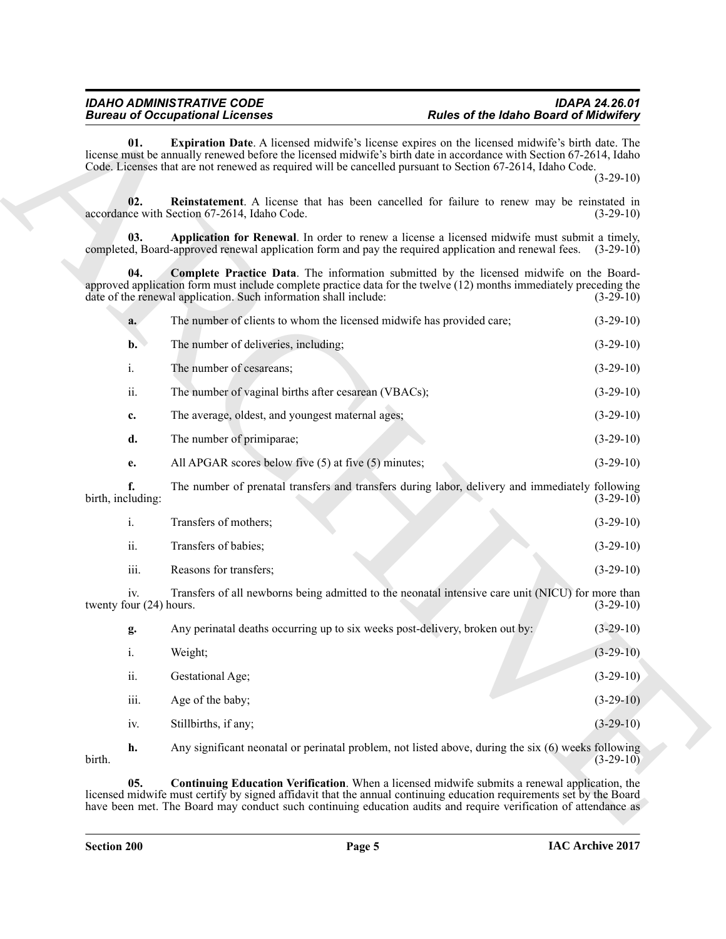<span id="page-4-4"></span><span id="page-4-3"></span><span id="page-4-2"></span><span id="page-4-1"></span><span id="page-4-0"></span>

|                                | <b>Bureau of Occupational Licenses</b>                                                                                                                                                                                                  | <b>Rules of the Idaho Board of Midwifery</b>                                                          |             |
|--------------------------------|-----------------------------------------------------------------------------------------------------------------------------------------------------------------------------------------------------------------------------------------|-------------------------------------------------------------------------------------------------------|-------------|
| 01.                            | license must be annually renewed before the licensed midwife's birth date in accordance with Section 67-2614, Idaho<br>Code. Licenses that are not renewed as required will be cancelled pursuant to Section 67-2614, Idaho Code.       | Expiration Date. A licensed midwife's license expires on the licensed midwife's birth date. The       | $(3-29-10)$ |
| 02.                            | accordance with Section 67-2614, Idaho Code.                                                                                                                                                                                            | <b>Reinstatement</b> . A license that has been cancelled for failure to renew may be reinstated in    | $(3-29-10)$ |
| 03.                            | completed, Board-approved renewal application form and pay the required application and renewal fees. (3-29-10)                                                                                                                         | Application for Renewal. In order to renew a license a licensed midwife must submit a timely,         |             |
| 04.                            | approved application form must include complete practice data for the twelve (12) months immediately preceding the<br>date of the renewal application. Such information shall include:                                                  | Complete Practice Data. The information submitted by the licensed midwife on the Board-               | $(3-29-10)$ |
| a.                             | The number of clients to whom the licensed midwife has provided care;                                                                                                                                                                   |                                                                                                       | $(3-29-10)$ |
| $\mathbf{b}$ .                 | The number of deliveries, including;                                                                                                                                                                                                    |                                                                                                       | $(3-29-10)$ |
| i.                             | The number of cesareans;                                                                                                                                                                                                                |                                                                                                       | $(3-29-10)$ |
| ii.                            | The number of vaginal births after cesarean (VBACs);                                                                                                                                                                                    |                                                                                                       | $(3-29-10)$ |
| c.                             | The average, oldest, and youngest maternal ages;                                                                                                                                                                                        |                                                                                                       | $(3-29-10)$ |
| d.                             | The number of primiparae;                                                                                                                                                                                                               |                                                                                                       | $(3-29-10)$ |
| e.                             | All APGAR scores below five (5) at five (5) minutes;                                                                                                                                                                                    |                                                                                                       | $(3-29-10)$ |
| f.<br>birth, including:        |                                                                                                                                                                                                                                         | The number of prenatal transfers and transfers during labor, delivery and immediately following       | $(3-29-10)$ |
| i.                             | Transfers of mothers;                                                                                                                                                                                                                   |                                                                                                       | $(3-29-10)$ |
| ii.                            | Transfers of babies;                                                                                                                                                                                                                    |                                                                                                       | $(3-29-10)$ |
| iii.                           | Reasons for transfers;                                                                                                                                                                                                                  |                                                                                                       | $(3-29-10)$ |
| iv.<br>twenty four (24) hours. |                                                                                                                                                                                                                                         | Transfers of all newborns being admitted to the neonatal intensive care unit (NICU) for more than     | $(3-29-10)$ |
| g.                             | Any perinatal deaths occurring up to six weeks post-delivery, broken out by:                                                                                                                                                            |                                                                                                       | $(3-29-10)$ |
| $\rm i.$                       | Weight;                                                                                                                                                                                                                                 |                                                                                                       | $(3-29-10)$ |
| ii.                            | Gestational Age;                                                                                                                                                                                                                        |                                                                                                       | $(3-29-10)$ |
| iii.                           | Age of the baby;                                                                                                                                                                                                                        |                                                                                                       | $(3-29-10)$ |
| iv.                            | Stillbirths, if any;                                                                                                                                                                                                                    |                                                                                                       | $(3-29-10)$ |
| h.<br>birth.                   |                                                                                                                                                                                                                                         | Any significant neonatal or perinatal problem, not listed above, during the six (6) weeks following   | $(3-29-10)$ |
| 05.                            | licensed midwife must certify by signed affidavit that the annual continuing education requirements set by the Board<br>have been met. The Board may conduct such continuing education audits and require verification of attendance as | <b>Continuing Education Verification</b> . When a licensed midwife submits a renewal application, the |             |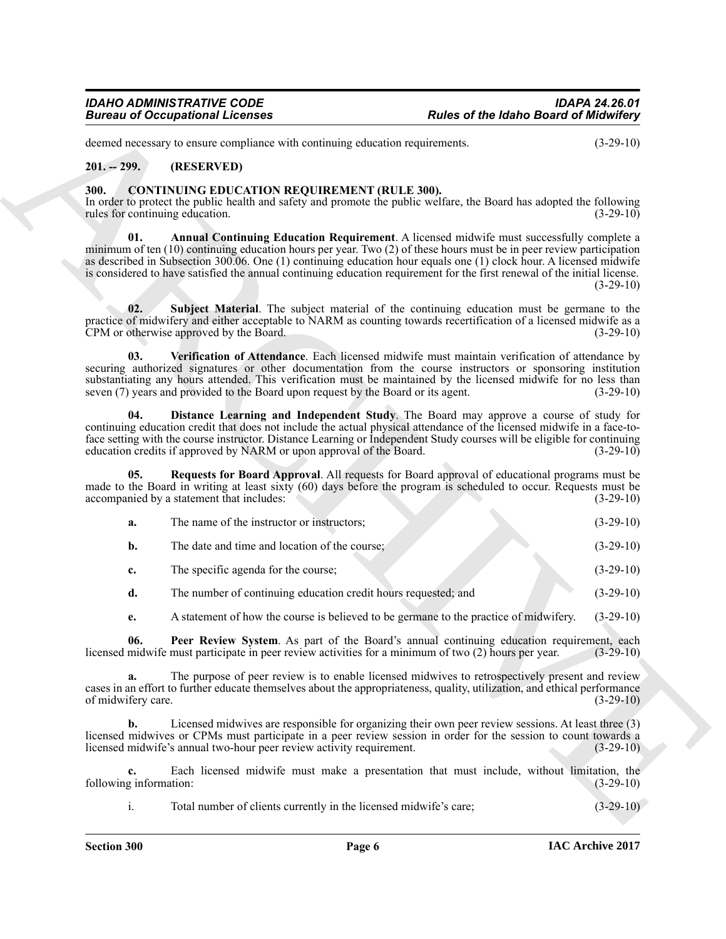# <span id="page-5-0"></span>**201. -- 299. (RESERVED)**

# <span id="page-5-8"></span><span id="page-5-7"></span><span id="page-5-6"></span><span id="page-5-5"></span><span id="page-5-4"></span><span id="page-5-3"></span><span id="page-5-2"></span><span id="page-5-1"></span>**300. CONTINUING EDUCATION REQUIREMENT (RULE 300).**

|                                         | <b>Bureau of Occupational Licenses</b>                                                                                                                                                                                                                                                                                                                                                                                                                                  | <b>Rules of the Idaho Board of Midwifery</b> |             |
|-----------------------------------------|-------------------------------------------------------------------------------------------------------------------------------------------------------------------------------------------------------------------------------------------------------------------------------------------------------------------------------------------------------------------------------------------------------------------------------------------------------------------------|----------------------------------------------|-------------|
|                                         | deemed necessary to ensure compliance with continuing education requirements.                                                                                                                                                                                                                                                                                                                                                                                           |                                              | $(3-29-10)$ |
| $201. - 299.$                           | (RESERVED)                                                                                                                                                                                                                                                                                                                                                                                                                                                              |                                              |             |
| 300.<br>rules for continuing education. | <b>CONTINUING EDUCATION REQUIREMENT (RULE 300).</b><br>In order to protect the public health and safety and promote the public welfare, the Board has adopted the following                                                                                                                                                                                                                                                                                             |                                              | $(3-29-10)$ |
| 01.                                     | Annual Continuing Education Requirement. A licensed midwife must successfully complete a<br>minimum of ten $(10)$ continuing education hours per year. Two $(2)$ of these hours must be in peer review participation<br>as described in Subsection 300.06. One (1) continuing education hour equals one (1) clock hour. A licensed midwife<br>is considered to have satisfied the annual continuing education requirement for the first renewal of the initial license. |                                              | $(3-29-10)$ |
| 02.                                     | Subject Material. The subject material of the continuing education must be germane to the<br>practice of midwifery and either acceptable to NARM as counting towards recertification of a licensed midwife as a<br>CPM or otherwise approved by the Board.                                                                                                                                                                                                              |                                              | $(3-29-10)$ |
| 03.                                     | Verification of Attendance. Each licensed midwife must maintain verification of attendance by<br>securing authorized signatures or other documentation from the course instructors or sponsoring institution<br>substantiating any hours attended. This verification must be maintained by the licensed midwife for no less than<br>seven (7) years and provided to the Board upon request by the Board or its agent.                                                   |                                              | $(3-29-10)$ |
| 04.                                     | Distance Learning and Independent Study. The Board may approve a course of study for<br>continuing education credit that does not include the actual physical attendance of the licensed midwife in a face-to-<br>face setting with the course instructor. Distance Learning or Independent Study courses will be eligible for continuing<br>education credits if approved by NARM or upon approval of the Board.                                                       |                                              | $(3-29-10)$ |
| 05.                                     | Requests for Board Approval. All requests for Board approval of educational programs must be<br>made to the Board in writing at least sixty (60) days before the program is scheduled to occur. Requests must be<br>accompanied by a statement that includes:                                                                                                                                                                                                           |                                              | $(3-29-10)$ |
| a.                                      | The name of the instructor or instructors;                                                                                                                                                                                                                                                                                                                                                                                                                              |                                              | $(3-29-10)$ |
| b.                                      | The date and time and location of the course;                                                                                                                                                                                                                                                                                                                                                                                                                           |                                              | $(3-29-10)$ |
| c.                                      | The specific agenda for the course;                                                                                                                                                                                                                                                                                                                                                                                                                                     |                                              | $(3-29-10)$ |
| d.                                      | The number of continuing education credit hours requested; and                                                                                                                                                                                                                                                                                                                                                                                                          |                                              | $(3-29-10)$ |
| e.                                      | A statement of how the course is believed to be germane to the practice of midwifery.                                                                                                                                                                                                                                                                                                                                                                                   |                                              | $(3-29-10)$ |
| 06.                                     | Peer Review System. As part of the Board's annual continuing education requirement, each<br>licensed midwife must participate in peer review activities for a minimum of two (2) hours per year.                                                                                                                                                                                                                                                                        |                                              | $(3-29-10)$ |
| a.<br>of midwifery care.                | The purpose of peer review is to enable licensed midwives to retrospectively present and review<br>cases in an effort to further educate themselves about the appropriateness, quality, utilization, and ethical performance                                                                                                                                                                                                                                            |                                              | $(3-29-10)$ |
| b.                                      | Licensed midwives are responsible for organizing their own peer review sessions. At least three (3)<br>licensed midwives or CPMs must participate in a peer review session in order for the session to count towards a<br>licensed midwife's annual two-hour peer review activity requirement.                                                                                                                                                                          |                                              | $(3-29-10)$ |
| c.<br>following information:            | Each licensed midwife must make a presentation that must include, without limitation, the                                                                                                                                                                                                                                                                                                                                                                               |                                              | $(3-29-10)$ |
| i.                                      | Total number of clients currently in the licensed midwife's care;                                                                                                                                                                                                                                                                                                                                                                                                       |                                              | $(3-29-10)$ |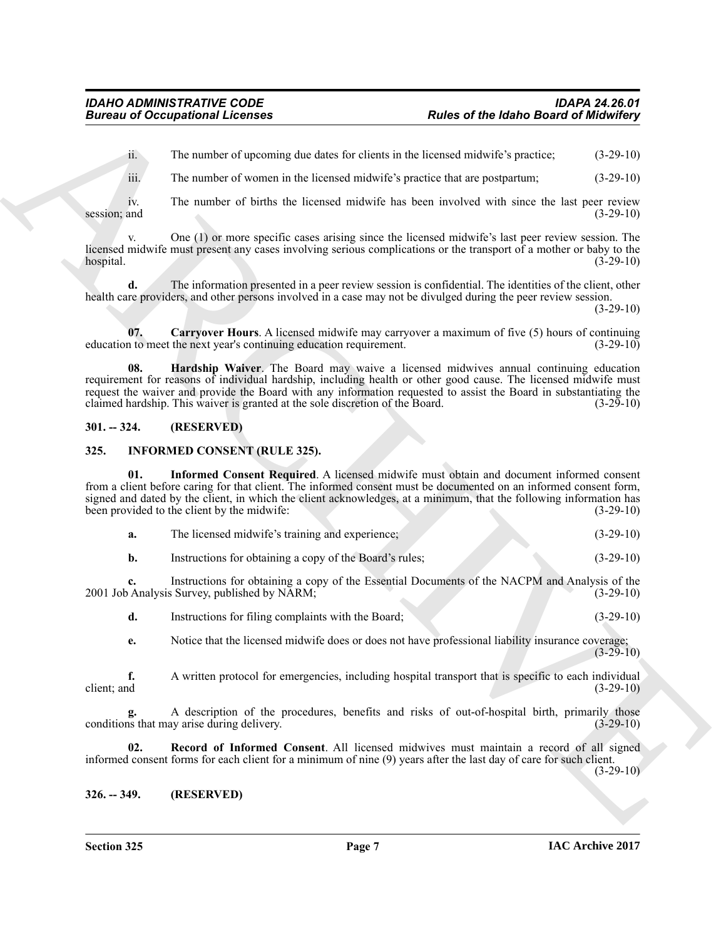ii. The number of upcoming due dates for clients in the licensed midwife's practice; (3-29-10)

iii. The number of women in the licensed midwife's practice that are postpartum; (3-29-10)

iv. The number of births the licensed midwife has been involved with since the last peer review<br>(3-29-10)<br>(3-29-10) session; and  $(3-29-10)$ 

v. One (1) or more specific cases arising since the licensed midwife's last peer review session. The licensed midwife must present any cases involving serious complications or the transport of a mother or baby to the hospital. (3-29-10)

**d.** The information presented in a peer review session is confidential. The identities of the client, other health care providers, and other persons involved in a case may not be divulged during the peer review session.

 $(3-29-10)$ 

<span id="page-6-4"></span><span id="page-6-3"></span>**07. Carryover Hours**. A licensed midwife may carryover a maximum of five (5) hours of continuing it to meet the next year's continuing education requirement. education to meet the next year's continuing education requirement.

**Bureau of Occupations I Licenses**<br>
The mather of general actions and the bureau of the bureau of the bureau of the street of the mather of version at the bureau of the street of the street of the street of the street of **08. Hardship Waiver**. The Board may waive a licensed midwives annual continuing education requirement for reasons of individual hardship, including health or other good cause. The licensed midwife must request the waiver and provide the Board with any information requested to assist the Board in substantiating the claimed hardship. This waiver is granted at the sole discretion of the Board. (3-29-10) claimed hardship. This waiver is granted at the sole discretion of the Board.

# <span id="page-6-0"></span>**301. -- 324. (RESERVED)**

# <span id="page-6-5"></span><span id="page-6-1"></span>**325. INFORMED CONSENT (RULE 325).**

**01. Informed Consent Required**. A licensed midwife must obtain and document informed consent from a client before caring for that client. The informed consent must be documented on an informed consent form, signed and dated by the client, in which the client acknowledges, at a minimum, that the following information has been provided to the client by the midwife: (3-29-10) been provided to the client by the midwife:

<span id="page-6-6"></span>

| а. | The licensed midwife's training and experience; |  | $(3-29-10)$ |
|----|-------------------------------------------------|--|-------------|
|----|-------------------------------------------------|--|-------------|

**b.** Instructions for obtaining a copy of the Board's rules; (3-29-10)

**c.** Instructions for obtaining a copy of the Essential Documents of the NACPM and Analysis of the 2001 Job Analysis Survey, published by NARM; (3-29-10)

**d.** Instructions for filing complaints with the Board; (3-29-10)

**e.** Notice that the licensed midwife does or does not have professional liability insurance coverage;  $(3-29-10)$ 

**f.** A written protocol for emergencies, including hospital transport that is specific to each individual client; and (3-29-10) client; and  $(3-29-10)$ 

A description of the procedures, benefits and risks of out-of-hospital birth, primarily those ay arise during delivery. (3-29-10) conditions that may arise during delivery.

<span id="page-6-7"></span>**02. Record of Informed Consent**. All licensed midwives must maintain a record of all signed informed consent forms for each client for a minimum of nine (9) years after the last day of care for such client.

 $(3-29-10)$ 

# <span id="page-6-2"></span>**326. -- 349. (RESERVED)**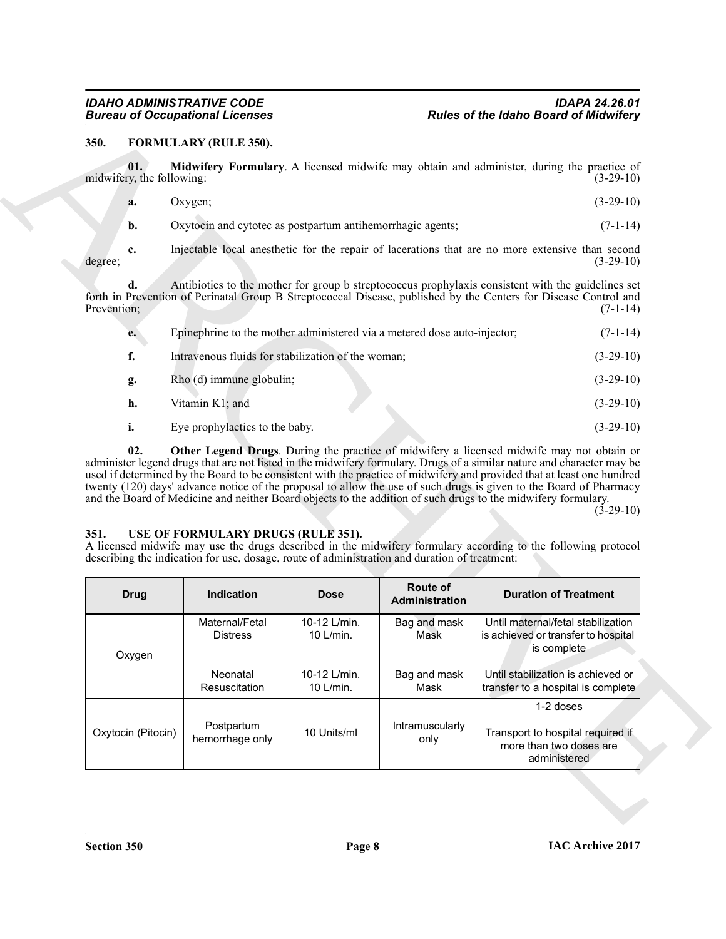# <span id="page-7-2"></span><span id="page-7-0"></span>**350. FORMULARY (RULE 350).**

<span id="page-7-3"></span>

|    | Oxygen;                                                    | $(3-29-10)$ |
|----|------------------------------------------------------------|-------------|
| b. | Oxytocin and cytotec as postpartum antihemorrhagic agents; | $(7-1-14)$  |

<span id="page-7-4"></span>

| e. | Epinephrine to the mother administered via a metered dose auto-injector; | $(7-1-14)$  |
|----|--------------------------------------------------------------------------|-------------|
| f. | Intravenous fluids for stabilization of the woman;                       | $(3-29-10)$ |
| g. | Rho (d) immune globulin;                                                 | $(3-29-10)$ |
| h. | Vitamin K1; and                                                          | $(3-29-10)$ |
|    | Eye prophylactics to the baby.                                           | $(3-29-10)$ |

# <span id="page-7-5"></span><span id="page-7-1"></span>**351. USE OF FORMULARY DRUGS (RULE 351).**

| 350.        |                                  | <b>FORMULARY (RULE 350).</b>                                                                                                        |                           |                            |                                                                                                                                                                                                                                                                                                                                                                                                                                                                                                                                                                                      |  |  |
|-------------|----------------------------------|-------------------------------------------------------------------------------------------------------------------------------------|---------------------------|----------------------------|--------------------------------------------------------------------------------------------------------------------------------------------------------------------------------------------------------------------------------------------------------------------------------------------------------------------------------------------------------------------------------------------------------------------------------------------------------------------------------------------------------------------------------------------------------------------------------------|--|--|
|             | 01.<br>midwifery, the following: |                                                                                                                                     |                           |                            | Midwifery Formulary. A licensed midwife may obtain and administer, during the practice of<br>$(3-29-10)$                                                                                                                                                                                                                                                                                                                                                                                                                                                                             |  |  |
|             | a.                               | Oxygen;                                                                                                                             |                           |                            | $(3-29-10)$                                                                                                                                                                                                                                                                                                                                                                                                                                                                                                                                                                          |  |  |
|             | b.                               | Oxytocin and cytotec as postpartum antihemorrhagic agents;                                                                          |                           |                            | $(7-1-14)$                                                                                                                                                                                                                                                                                                                                                                                                                                                                                                                                                                           |  |  |
| degree;     | c.                               |                                                                                                                                     |                           |                            | Injectable local anesthetic for the repair of lacerations that are no more extensive than second<br>$(3-29-10)$                                                                                                                                                                                                                                                                                                                                                                                                                                                                      |  |  |
| Prevention; | d.                               |                                                                                                                                     |                           |                            | Antibiotics to the mother for group b streptococcus prophylaxis consistent with the guidelines set<br>forth in Prevention of Perinatal Group B Streptococcal Disease, published by the Centers for Disease Control and<br>$(7-1-14)$                                                                                                                                                                                                                                                                                                                                                 |  |  |
|             | e.                               | Epinephrine to the mother administered via a metered dose auto-injector;                                                            |                           |                            | $(7-1-14)$                                                                                                                                                                                                                                                                                                                                                                                                                                                                                                                                                                           |  |  |
|             | f.                               | Intravenous fluids for stabilization of the woman;                                                                                  |                           |                            | $(3-29-10)$                                                                                                                                                                                                                                                                                                                                                                                                                                                                                                                                                                          |  |  |
|             | g.                               | Rho (d) immune globulin;                                                                                                            |                           |                            | $(3-29-10)$                                                                                                                                                                                                                                                                                                                                                                                                                                                                                                                                                                          |  |  |
|             | h.                               | Vitamin K1; and                                                                                                                     |                           |                            | $(3-29-10)$                                                                                                                                                                                                                                                                                                                                                                                                                                                                                                                                                                          |  |  |
|             | i.                               | Eye prophylactics to the baby.                                                                                                      |                           |                            | $(3-29-10)$                                                                                                                                                                                                                                                                                                                                                                                                                                                                                                                                                                          |  |  |
|             | 02.                              |                                                                                                                                     |                           |                            | Other Legend Drugs. During the practice of midwifery a licensed midwife may not obtain or<br>administer legend drugs that are not listed in the midwifery formulary. Drugs of a similar nature and character may be<br>used if determined by the Board to be consistent with the practice of midwifery and provided that at least one hundred<br>twenty (120) days' advance notice of the proposal to allow the use of such drugs is given to the Board of Pharmacy<br>and the Board of Medicine and neither Board objects to the addition of such drugs to the midwifery formulary. |  |  |
|             |                                  | USE OF FORMULARY DRUGS (RULE 351).<br>describing the indication for use, dosage, route of administration and duration of treatment: |                           |                            | $(3-29-10)$<br>A licensed midwife may use the drugs described in the midwifery formulary according to the following protocol                                                                                                                                                                                                                                                                                                                                                                                                                                                         |  |  |
|             | <b>Drug</b>                      | Indication                                                                                                                          | <b>Dose</b>               | Route of<br>Administration | <b>Duration of Treatment</b>                                                                                                                                                                                                                                                                                                                                                                                                                                                                                                                                                         |  |  |
|             | Oxygen                           | Maternal/Fetal<br><b>Distress</b>                                                                                                   | 10-12 L/min.<br>10 L/min. | Bag and mask<br>Mask       | Until maternal/fetal stabilization<br>is achieved or transfer to hospital<br>is complete                                                                                                                                                                                                                                                                                                                                                                                                                                                                                             |  |  |
| 351.        |                                  | Neonatal<br>Resuscitation                                                                                                           | 10-12 L/min.<br>10 L/min. | Bag and mask<br>Mask       | Until stabilization is achieved or<br>transfer to a hospital is complete                                                                                                                                                                                                                                                                                                                                                                                                                                                                                                             |  |  |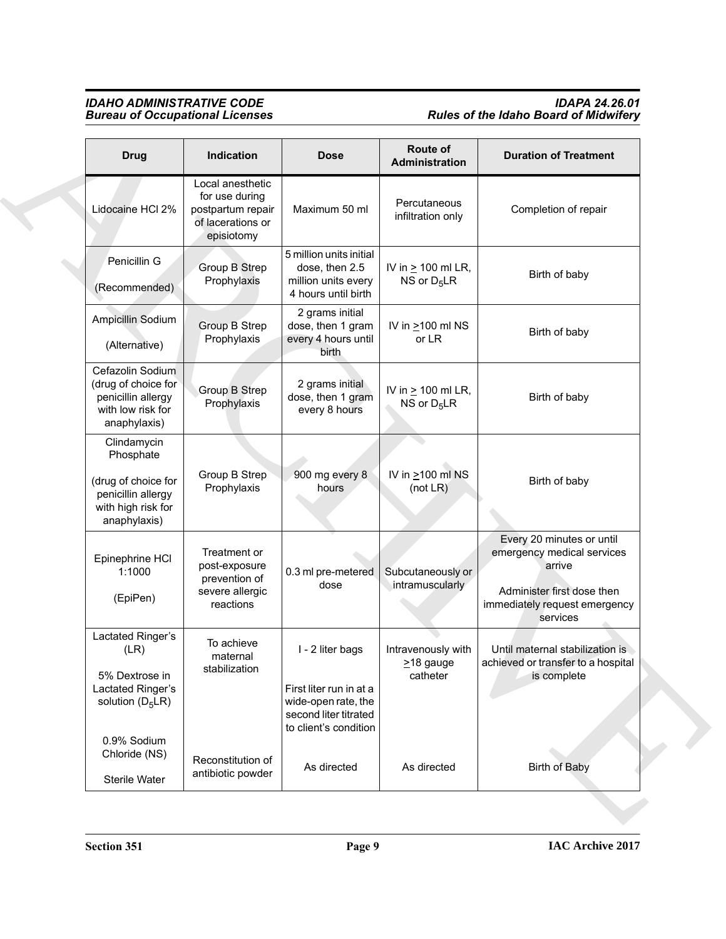# *IDAHO ADMINISTRATIVE CODE IDAPA 24.26.01 Bureau of Occupational Licenses Rules of the Idaho Board of Midwifery*

| <b>Drug</b>                                                                                                 | Indication                                                                                 | <b>Dose</b>                                                                                                          | Route of<br>Administration                        | <b>Duration of Treatment</b>                                                                                                                 |
|-------------------------------------------------------------------------------------------------------------|--------------------------------------------------------------------------------------------|----------------------------------------------------------------------------------------------------------------------|---------------------------------------------------|----------------------------------------------------------------------------------------------------------------------------------------------|
| Lidocaine HCI 2%                                                                                            | Local anesthetic<br>for use during<br>postpartum repair<br>of lacerations or<br>episiotomy | Maximum 50 ml                                                                                                        | Percutaneous<br>infiltration only                 | Completion of repair                                                                                                                         |
| Penicillin G<br>(Recommended)                                                                               | Group B Strep<br>Prophylaxis                                                               | 5 million units initial<br>dose, then 2.5<br>million units every<br>4 hours until birth                              | IV in $\geq$ 100 ml LR,<br>NS or $D_5LR$          | Birth of baby                                                                                                                                |
| Ampicillin Sodium<br>(Alternative)                                                                          | Group B Strep<br>Prophylaxis                                                               | 2 grams initial<br>dose, then 1 gram<br>every 4 hours until<br>birth                                                 | IV in $\geq$ 100 ml NS<br>or LR                   | Birth of baby                                                                                                                                |
| Cefazolin Sodium<br>(drug of choice for<br>penicillin allergy<br>with low risk for<br>anaphylaxis)          | Group B Strep<br>Prophylaxis                                                               | 2 grams initial<br>dose, then 1 gram<br>every 8 hours                                                                | IV in $\geq$ 100 ml LR,<br>NS or $D_5LR$          | Birth of baby                                                                                                                                |
| Clindamycin<br>Phosphate<br>(drug of choice for<br>penicillin allergy<br>with high risk for<br>anaphylaxis) | Group B Strep<br>Prophylaxis                                                               | 900 mg every 8<br>hours                                                                                              | IV in $\geq$ 100 ml NS<br>(not LR)                | Birth of baby                                                                                                                                |
| Epinephrine HCI<br>1:1000<br>(EpiPen)                                                                       | Treatment or<br>post-exposure<br>prevention of<br>severe allergic<br>reactions             | 0.3 ml pre-metered<br>dose                                                                                           | Subcutaneously or<br>intramuscularly              | Every 20 minutes or until<br>emergency medical services<br>arrive<br>Administer first dose then<br>immediately request emergency<br>services |
| Lactated Ringer's<br>(LR)<br>5% Dextrose in<br>Lactated Ringer's<br>solution $(D_5LR)$                      | To achieve<br>maternal<br>stabilization                                                    | I - 2 liter bags<br>First liter run in at a<br>wide-open rate, the<br>second liter titrated<br>to client's condition | Intravenously with<br>$\geq$ 18 gauge<br>catheter | Until maternal stabilization is<br>achieved or transfer to a hospital<br>is complete                                                         |
| 0.9% Sodium<br>Chloride (NS)<br>Sterile Water                                                               | Reconstitution of<br>antibiotic powder                                                     | As directed                                                                                                          | As directed                                       | <b>Birth of Baby</b>                                                                                                                         |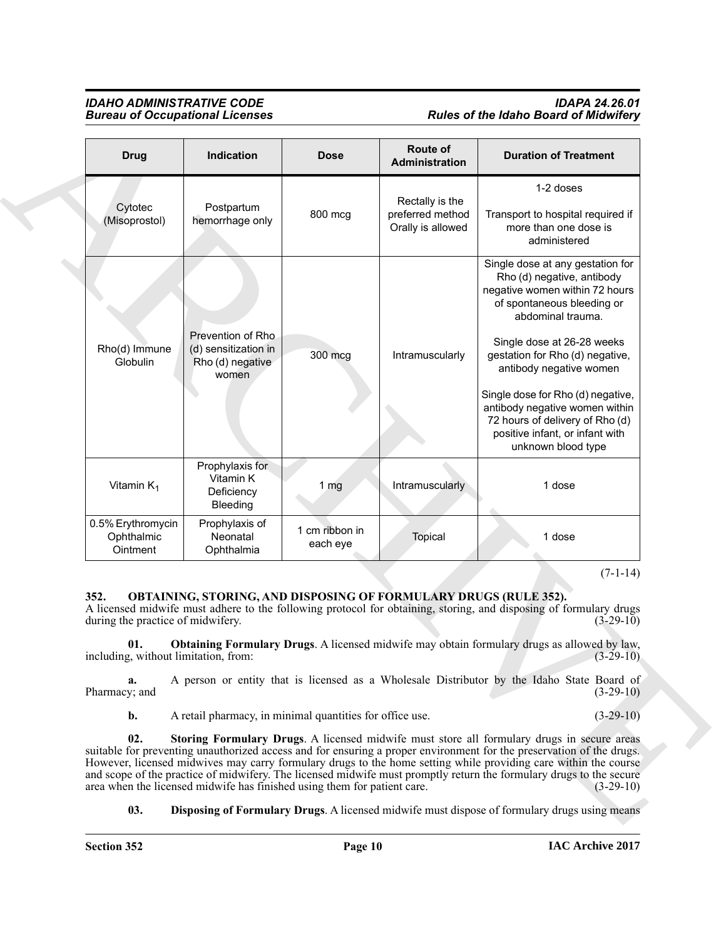# *IDAHO ADMINISTRATIVE CODE IDAPA 24.26.01* **Rules of the Idaho Board of Midwifery**

| <b>Bureau of Occupational Licenses</b>      |                                                                                                                                                      |                            | <b>Rules of the Idaho Board of Midwifery</b>             |                                                                                                                                                                                                                                                                                                                                                                                                                                                                             |
|---------------------------------------------|------------------------------------------------------------------------------------------------------------------------------------------------------|----------------------------|----------------------------------------------------------|-----------------------------------------------------------------------------------------------------------------------------------------------------------------------------------------------------------------------------------------------------------------------------------------------------------------------------------------------------------------------------------------------------------------------------------------------------------------------------|
| <b>Drug</b>                                 | Indication                                                                                                                                           | <b>Dose</b>                | Route of<br>Administration                               | <b>Duration of Treatment</b>                                                                                                                                                                                                                                                                                                                                                                                                                                                |
| Cytotec<br>(Misoprostol)                    | Postpartum<br>hemorrhage only                                                                                                                        | 800 mcg                    | Rectally is the<br>preferred method<br>Orally is allowed | 1-2 doses<br>Transport to hospital required if<br>more than one dose is<br>administered                                                                                                                                                                                                                                                                                                                                                                                     |
| Rho(d) Immune<br>Globulin                   | Prevention of Rho<br>(d) sensitization in<br>Rho (d) negative<br>women                                                                               | 300 mcg                    | Intramuscularly                                          | Single dose at any gestation for<br>Rho (d) negative, antibody<br>negative women within 72 hours<br>of spontaneous bleeding or<br>abdominal trauma.<br>Single dose at 26-28 weeks<br>gestation for Rho (d) negative,<br>antibody negative women                                                                                                                                                                                                                             |
|                                             |                                                                                                                                                      |                            |                                                          | Single dose for Rho (d) negative,<br>antibody negative women within<br>72 hours of delivery of Rho (d)<br>positive infant, or infant with<br>unknown blood type                                                                                                                                                                                                                                                                                                             |
| Vitamin $K_1$                               | Prophylaxis for<br>Vitamin K<br>Deficiency<br>Bleeding                                                                                               | 1 <sub>mg</sub>            | Intramuscularly                                          | 1 dose                                                                                                                                                                                                                                                                                                                                                                                                                                                                      |
| 0.5% Erythromycin<br>Ophthalmic<br>Ointment | Prophylaxis of<br>Neonatal<br>Ophthalmia                                                                                                             | 1 cm ribbon in<br>each eye | Topical                                                  | 1 dose                                                                                                                                                                                                                                                                                                                                                                                                                                                                      |
| 352.<br>01.                                 | <b>OBTAINING, STORING, AND DISPOSING OF FORMULARY DRUGS (RULE 352).</b><br>during the practice of midwifery.<br>including, without limitation, from: |                            |                                                          | $(7-1-14)$<br>A licensed midwife must adhere to the following protocol for obtaining, storing, and disposing of formulary drugs<br>$(3-29-10)$<br><b>Obtaining Formulary Drugs.</b> A licensed midwife may obtain formulary drugs as allowed by law,<br>$(3-29-10)$                                                                                                                                                                                                         |
| a.<br>Pharmacy; and                         |                                                                                                                                                      |                            |                                                          | A person or entity that is licensed as a Wholesale Distributor by the Idaho State Board of<br>$(3-29-10)$                                                                                                                                                                                                                                                                                                                                                                   |
| b.                                          | A retail pharmacy, in minimal quantities for office use.                                                                                             |                            |                                                          | $(3-29-10)$                                                                                                                                                                                                                                                                                                                                                                                                                                                                 |
| 02.                                         | area when the licensed midwife has finished using them for patient care.                                                                             |                            |                                                          | Storing Formulary Drugs. A licensed midwife must store all formulary drugs in secure areas<br>suitable for preventing unauthorized access and for ensuring a proper environment for the preservation of the drugs.<br>However, licensed midwives may carry formulary drugs to the home setting while providing care within the course<br>and scope of the practice of midwifery. The licensed midwife must promptly return the formulary drugs to the secure<br>$(3-29-10)$ |
| 03.                                         |                                                                                                                                                      |                            |                                                          | <b>Disposing of Formulary Drugs.</b> A licensed midwife must dispose of formulary drugs using means                                                                                                                                                                                                                                                                                                                                                                         |
|                                             |                                                                                                                                                      |                            |                                                          |                                                                                                                                                                                                                                                                                                                                                                                                                                                                             |

# <span id="page-9-4"></span><span id="page-9-3"></span><span id="page-9-2"></span><span id="page-9-1"></span><span id="page-9-0"></span>**352. OBTAINING, STORING, AND DISPOSING OF FORMULARY DRUGS (RULE 352).**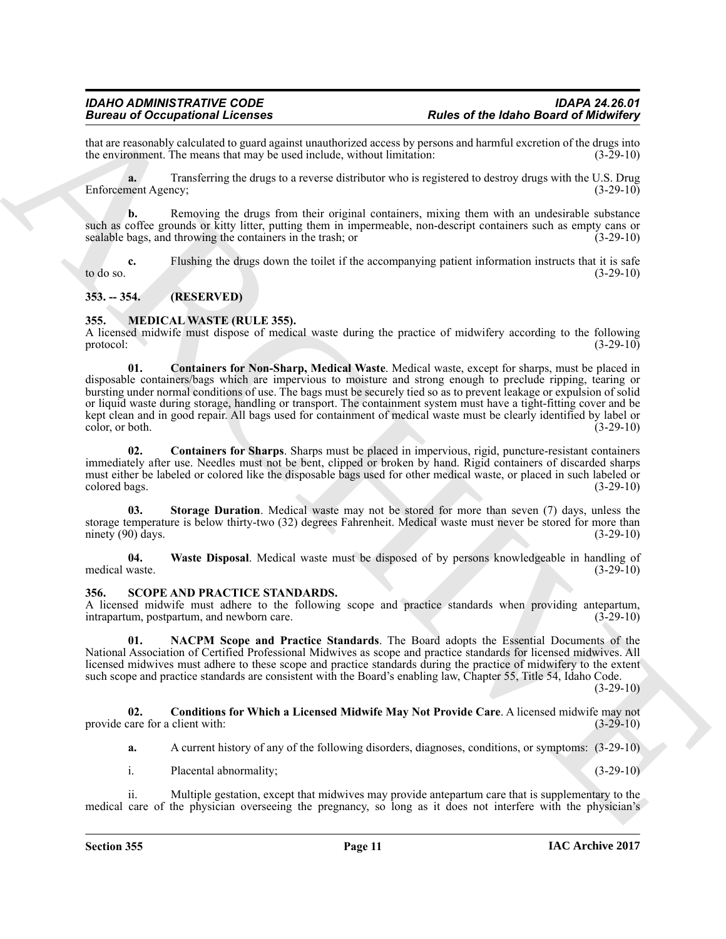that are reasonably calculated to guard against unauthorized access by persons and harmful excretion of the drugs into<br>the environment. The means that may be used include, without limitation:  $(3-29-10)$ the environment. The means that may be used include, without limitation:

**a.** Transferring the drugs to a reverse distributor who is registered to destroy drugs with the U.S. Drug Enforcement Agency; (3-29-10)

**b.** Removing the drugs from their original containers, mixing them with an undesirable substance such as coffee grounds or kitty litter, putting them in impermeable, non-descript containers such as empty cans or sealable bags, and throwing the containers in the trash; or (3-29-10)

**c.** Flushing the drugs down the toilet if the accompanying patient information instructs that it is safe (3-29-10) to do so.  $(3-29-10)$ 

# <span id="page-10-0"></span>**353. -- 354. (RESERVED)**

# <span id="page-10-3"></span><span id="page-10-1"></span>**355. MEDICAL WASTE (RULE 355).**

<span id="page-10-4"></span>A licensed midwife must dispose of medical waste during the practice of midwifery according to the following protocol:  $(3-29-10)$ protocol:  $(3-29-10)$ 

Brain of Occupation Relations of the stress of the Habel Brain of the State of the State of the State of the State of the State of the State of the State of the State of the State of the State of the State of the State of **01. Containers for Non-Sharp, Medical Waste**. Medical waste, except for sharps, must be placed in disposable containers/bags which are impervious to moisture and strong enough to preclude ripping, tearing or bursting under normal conditions of use. The bags must be securely tied so as to prevent leakage or expulsion of solid or liquid waste during storage, handling or transport. The containment system must have a tight-fitting cover and be kept clean and in good repair. All bags used for containment of medical waste must be clearly identified by label or color, or both. (3-29-10) color, or both.

<span id="page-10-5"></span>**02. Containers for Sharps**. Sharps must be placed in impervious, rigid, puncture-resistant containers immediately after use. Needles must not be bent, clipped or broken by hand. Rigid containers of discarded sharps must either be labeled or colored like the disposable bags used for other medical waste, or placed in such labeled or colored bags. (3-29-10) colored bags.

<span id="page-10-6"></span>**03. Storage Duration**. Medical waste may not be stored for more than seven (7) days, unless the storage temperature is below thirty-two (32) degrees Fahrenheit. Medical waste must never be stored for more than ninety (90) days. (3-29-10) ninety  $(90)$  days.

<span id="page-10-7"></span>**04.** Waste Disposal. Medical waste must be disposed of by persons knowledgeable in handling of medical waste. (3-29-10) medical waste. (3-29-10)

# <span id="page-10-8"></span><span id="page-10-2"></span>**356. SCOPE AND PRACTICE STANDARDS.**

A licensed midwife must adhere to the following scope and practice standards when providing antepartum, intrapartum, postpartum, and newborn care. intrapartum, postpartum, and newborn care.

<span id="page-10-10"></span>**01. NACPM Scope and Practice Standards**. The Board adopts the Essential Documents of the National Association of Certified Professional Midwives as scope and practice standards for licensed midwives. All licensed midwives must adhere to these scope and practice standards during the practice of midwifery to the extent such scope and practice standards are consistent with the Board's enabling law, Chapter 55, Title 54, Idaho Code.

 $(3-29-10)$ 

**02. Conditions for Which a Licensed Midwife May Not Provide Care**. A licensed midwife may not care for a client with: (3-29-10) provide care for a client with:

<span id="page-10-9"></span>**a.** A current history of any of the following disorders, diagnoses, conditions, or symptoms: (3-29-10)

i. Placental abnormality; (3-29-10)

ii. Multiple gestation, except that midwives may provide antepartum care that is supplementary to the medical care of the physician overseeing the pregnancy, so long as it does not interfere with the physician's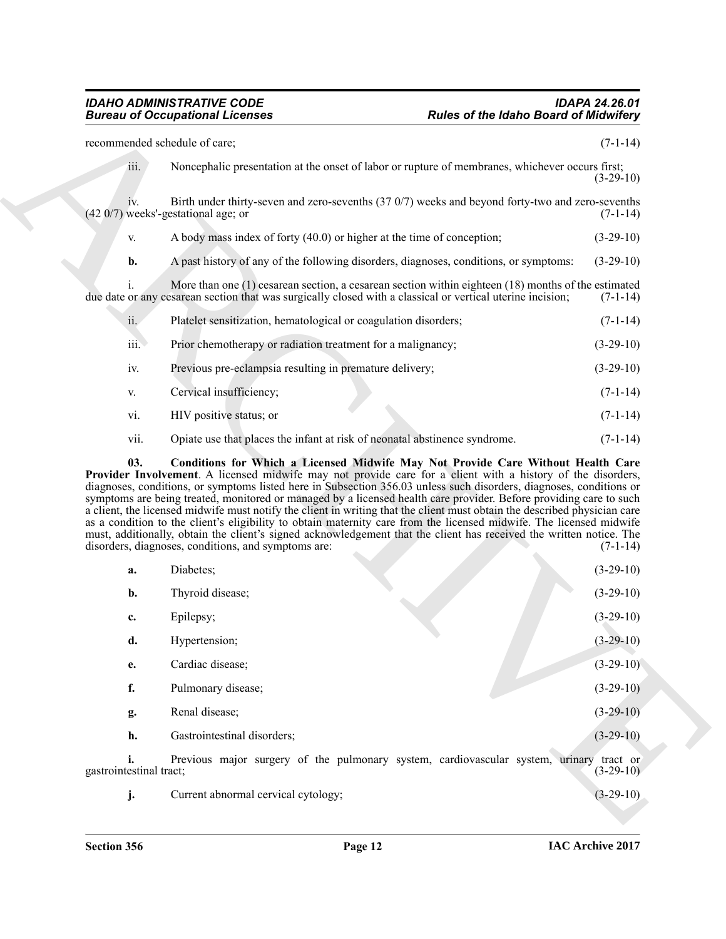|                         | <b>Bureau of Occupational Licenses</b>                                                                                                                                                                                                                                                                                                                                                                                                                                                                                                                                                                                                                                                                                                                                                     | <b>Rules of the Idaho Board of Midwifery</b>                                                         |
|-------------------------|--------------------------------------------------------------------------------------------------------------------------------------------------------------------------------------------------------------------------------------------------------------------------------------------------------------------------------------------------------------------------------------------------------------------------------------------------------------------------------------------------------------------------------------------------------------------------------------------------------------------------------------------------------------------------------------------------------------------------------------------------------------------------------------------|------------------------------------------------------------------------------------------------------|
|                         | recommended schedule of care;                                                                                                                                                                                                                                                                                                                                                                                                                                                                                                                                                                                                                                                                                                                                                              | $(7-1-14)$                                                                                           |
| iii.                    | Noncephalic presentation at the onset of labor or rupture of membranes, whichever occurs first;                                                                                                                                                                                                                                                                                                                                                                                                                                                                                                                                                                                                                                                                                            | $(3-29-10)$                                                                                          |
| IV.                     | Birth under thirty-seven and zero-sevenths (37 0/7) weeks and beyond forty-two and zero-sevenths<br>$(420/7)$ weeks'-gestational age; or                                                                                                                                                                                                                                                                                                                                                                                                                                                                                                                                                                                                                                                   | $(7-1-14)$                                                                                           |
| V.                      | A body mass index of forty (40.0) or higher at the time of conception;                                                                                                                                                                                                                                                                                                                                                                                                                                                                                                                                                                                                                                                                                                                     | $(3-29-10)$                                                                                          |
| b.                      | A past history of any of the following disorders, diagnoses, conditions, or symptoms:                                                                                                                                                                                                                                                                                                                                                                                                                                                                                                                                                                                                                                                                                                      | $(3-29-10)$                                                                                          |
| Ť.                      | More than one $(1)$ cesarean section, a cesarean section within eighteen $(18)$ months of the estimated<br>due date or any cesarean section that was surgically closed with a classical or vertical uterine incision;                                                                                                                                                                                                                                                                                                                                                                                                                                                                                                                                                                      | $(7-1-14)$                                                                                           |
| ii.                     | Platelet sensitization, hematological or coagulation disorders;                                                                                                                                                                                                                                                                                                                                                                                                                                                                                                                                                                                                                                                                                                                            | $(7-1-14)$                                                                                           |
| iii.                    | Prior chemotherapy or radiation treatment for a malignancy;                                                                                                                                                                                                                                                                                                                                                                                                                                                                                                                                                                                                                                                                                                                                | $(3-29-10)$                                                                                          |
| iv.                     | Previous pre-eclampsia resulting in premature delivery;                                                                                                                                                                                                                                                                                                                                                                                                                                                                                                                                                                                                                                                                                                                                    | $(3-29-10)$                                                                                          |
| V.                      | Cervical insufficiency;                                                                                                                                                                                                                                                                                                                                                                                                                                                                                                                                                                                                                                                                                                                                                                    | $(7-1-14)$                                                                                           |
| vi.                     | HIV positive status; or                                                                                                                                                                                                                                                                                                                                                                                                                                                                                                                                                                                                                                                                                                                                                                    | $(7-1-14)$                                                                                           |
| vii.                    | Opiate use that places the infant at risk of neonatal abstinence syndrome.                                                                                                                                                                                                                                                                                                                                                                                                                                                                                                                                                                                                                                                                                                                 | $(7-1-14)$                                                                                           |
| 03.                     | Conditions for Which a Licensed Midwife May Not Provide Care Without Health Care                                                                                                                                                                                                                                                                                                                                                                                                                                                                                                                                                                                                                                                                                                           |                                                                                                      |
|                         | Provider Involvement. A licensed midwife may not provide care for a client with a history of the disorders,<br>diagnoses, conditions, or symptoms listed here in Subsection 356.03 unless such disorders, diagnoses, conditions or<br>symptoms are being treated, monitored or managed by a licensed health care provider. Before providing care to such<br>a client, the licensed midwife must notify the client in writing that the client must obtain the described physician care<br>as a condition to the client's eligibility to obtain maternity care from the licensed midwife. The licensed midwife<br>must, additionally, obtain the client's signed acknowledgement that the client has received the written notice. The<br>disorders, diagnoses, conditions, and symptoms are: |                                                                                                      |
| a.                      | Diabetes;                                                                                                                                                                                                                                                                                                                                                                                                                                                                                                                                                                                                                                                                                                                                                                                  |                                                                                                      |
| b.                      | Thyroid disease;                                                                                                                                                                                                                                                                                                                                                                                                                                                                                                                                                                                                                                                                                                                                                                           |                                                                                                      |
| c.                      | Epilepsy;                                                                                                                                                                                                                                                                                                                                                                                                                                                                                                                                                                                                                                                                                                                                                                                  |                                                                                                      |
| d.                      | Hypertension;                                                                                                                                                                                                                                                                                                                                                                                                                                                                                                                                                                                                                                                                                                                                                                              |                                                                                                      |
| e.                      | Cardiac disease;                                                                                                                                                                                                                                                                                                                                                                                                                                                                                                                                                                                                                                                                                                                                                                           |                                                                                                      |
| f.                      | Pulmonary disease;                                                                                                                                                                                                                                                                                                                                                                                                                                                                                                                                                                                                                                                                                                                                                                         | $(7-1-14)$<br>$(3-29-10)$<br>$(3-29-10)$<br>$(3-29-10)$<br>$(3-29-10)$<br>$(3-29-10)$<br>$(3-29-10)$ |
| g.                      | Renal disease;                                                                                                                                                                                                                                                                                                                                                                                                                                                                                                                                                                                                                                                                                                                                                                             | $(3-29-10)$                                                                                          |
| h.                      | Gastrointestinal disorders;                                                                                                                                                                                                                                                                                                                                                                                                                                                                                                                                                                                                                                                                                                                                                                | $(3-29-10)$                                                                                          |
| gastrointestinal tract; | Previous major surgery of the pulmonary system, cardiovascular system, urinary tract or                                                                                                                                                                                                                                                                                                                                                                                                                                                                                                                                                                                                                                                                                                    | $(3-29-10)$                                                                                          |

<span id="page-11-0"></span>

| a.                      | Diabetes;                                                                      | $(3-29-10)$             |
|-------------------------|--------------------------------------------------------------------------------|-------------------------|
| b.                      | Thyroid disease;                                                               | $(3-29-10)$             |
| c.                      | Epilepsy;                                                                      | $(3-29-10)$             |
| d.                      | Hypertension;                                                                  | $(3-29-10)$             |
| e.                      | Cardiac disease;                                                               | $(3-29-10)$             |
| f.                      | Pulmonary disease;                                                             | $(3-29-10)$             |
| g.                      | Renal disease;                                                                 | $(3-29-10)$             |
| h.                      | Gastrointestinal disorders;                                                    | $(3-29-10)$             |
| gastrointestinal tract; | Previous major surgery of the pulmonary system, cardiovascular system, urinary | tract or<br>$(3-29-10)$ |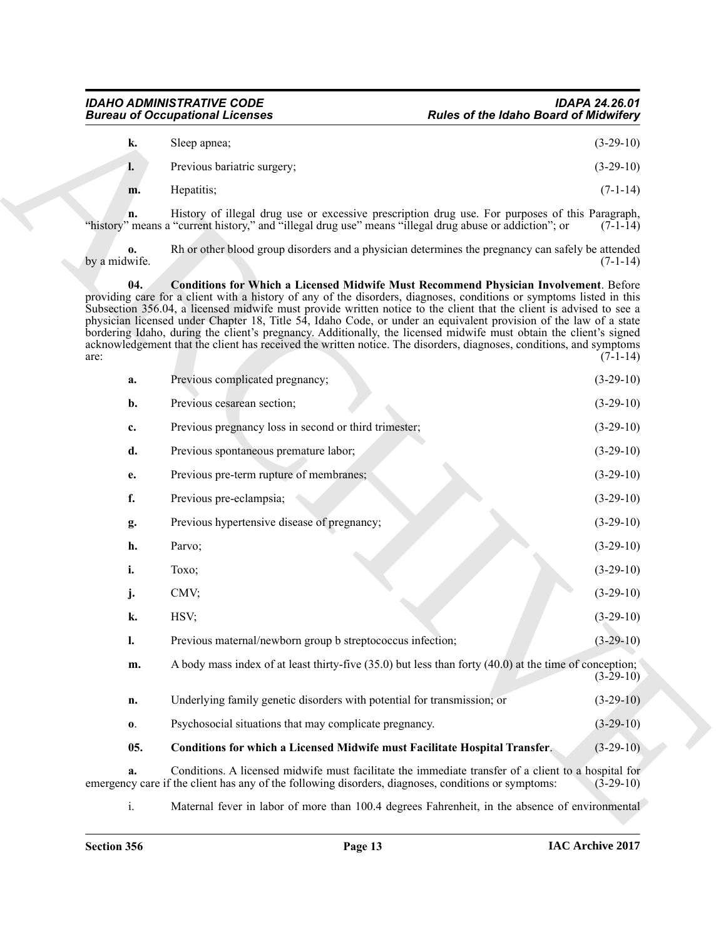# *IDAHO ADMINISTRATIVE CODE IDAPA 24.26.01* **Rules of the Idaho Board of Midwifery**

<span id="page-12-1"></span><span id="page-12-0"></span>

| k. | Sleep apnea;                | $(3-29-10)$ |
|----|-----------------------------|-------------|
| l. | Previous bariatric surgery; | $(3-29-10)$ |
| m. | Hepatitis:                  | $(7-1-14)$  |

| <b>Bureau of Occupational Licenses</b> |                                                                                                     | <b>Rules of the Idaho Board of Midwifery</b>                                                                                                                                                                                                                                                                                                                                                                                                                                                                                                                                                                                                                                                                 |             |
|----------------------------------------|-----------------------------------------------------------------------------------------------------|--------------------------------------------------------------------------------------------------------------------------------------------------------------------------------------------------------------------------------------------------------------------------------------------------------------------------------------------------------------------------------------------------------------------------------------------------------------------------------------------------------------------------------------------------------------------------------------------------------------------------------------------------------------------------------------------------------------|-------------|
| k.                                     | Sleep apnea;                                                                                        |                                                                                                                                                                                                                                                                                                                                                                                                                                                                                                                                                                                                                                                                                                              | $(3-29-10)$ |
| l.                                     | Previous bariatric surgery;                                                                         |                                                                                                                                                                                                                                                                                                                                                                                                                                                                                                                                                                                                                                                                                                              | $(3-29-10)$ |
| m.                                     | Hepatitis;                                                                                          |                                                                                                                                                                                                                                                                                                                                                                                                                                                                                                                                                                                                                                                                                                              | $(7-1-14)$  |
| n.                                     |                                                                                                     | History of illegal drug use or excessive prescription drug use. For purposes of this Paragraph,<br>"history" means a "current history," and "illegal drug use" means "illegal drug abuse or addiction"; or                                                                                                                                                                                                                                                                                                                                                                                                                                                                                                   | $(7-1-14)$  |
| 0.<br>by a midwife.                    |                                                                                                     | Rh or other blood group disorders and a physician determines the pregnancy can safely be attended                                                                                                                                                                                                                                                                                                                                                                                                                                                                                                                                                                                                            | $(7-1-14)$  |
| 04.<br>are:                            |                                                                                                     | <b>Conditions for Which a Licensed Midwife Must Recommend Physician Involvement. Before</b><br>providing care for a client with a history of any of the disorders, diagnoses, conditions or symptoms listed in this<br>Subsection 356.04, a licensed midwife must provide written notice to the client that the client is advised to see a<br>physician licensed under Chapter 18, Title 54, Idaho Code, or under an equivalent provision of the law of a state<br>bordering Idaho, during the client's pregnancy. Additionally, the licensed midwife must obtain the client's signed<br>acknowledgement that the client has received the written notice. The disorders, diagnoses, conditions, and symptoms | $(7-1-14)$  |
| a.                                     | Previous complicated pregnancy;                                                                     |                                                                                                                                                                                                                                                                                                                                                                                                                                                                                                                                                                                                                                                                                                              | $(3-29-10)$ |
| b.                                     | Previous cesarean section;                                                                          |                                                                                                                                                                                                                                                                                                                                                                                                                                                                                                                                                                                                                                                                                                              | $(3-29-10)$ |
| c.                                     | Previous pregnancy loss in second or third trimester;                                               |                                                                                                                                                                                                                                                                                                                                                                                                                                                                                                                                                                                                                                                                                                              | $(3-29-10)$ |
| d.                                     | Previous spontaneous premature labor;                                                               |                                                                                                                                                                                                                                                                                                                                                                                                                                                                                                                                                                                                                                                                                                              | $(3-29-10)$ |
| e.                                     | Previous pre-term rupture of membranes;                                                             |                                                                                                                                                                                                                                                                                                                                                                                                                                                                                                                                                                                                                                                                                                              | $(3-29-10)$ |
| f.                                     | Previous pre-eclampsia;                                                                             |                                                                                                                                                                                                                                                                                                                                                                                                                                                                                                                                                                                                                                                                                                              | $(3-29-10)$ |
| g.                                     | Previous hypertensive disease of pregnancy;                                                         |                                                                                                                                                                                                                                                                                                                                                                                                                                                                                                                                                                                                                                                                                                              | $(3-29-10)$ |
| h.                                     | Parvo;                                                                                              |                                                                                                                                                                                                                                                                                                                                                                                                                                                                                                                                                                                                                                                                                                              | $(3-29-10)$ |
| i.                                     | Toxo;                                                                                               |                                                                                                                                                                                                                                                                                                                                                                                                                                                                                                                                                                                                                                                                                                              | $(3-29-10)$ |
| j.                                     | CMV;                                                                                                |                                                                                                                                                                                                                                                                                                                                                                                                                                                                                                                                                                                                                                                                                                              | $(3-29-10)$ |
| k.                                     | HSV;                                                                                                |                                                                                                                                                                                                                                                                                                                                                                                                                                                                                                                                                                                                                                                                                                              | $(3-29-10)$ |
| ı.                                     | Previous maternal/newborn group b streptococcus infection;                                          |                                                                                                                                                                                                                                                                                                                                                                                                                                                                                                                                                                                                                                                                                                              | $(3-29-10)$ |
| m.                                     |                                                                                                     | A body mass index of at least thirty-five (35.0) but less than forty (40.0) at the time of conception;                                                                                                                                                                                                                                                                                                                                                                                                                                                                                                                                                                                                       | $(3-29-10)$ |
| n.                                     | Underlying family genetic disorders with potential for transmission; or                             |                                                                                                                                                                                                                                                                                                                                                                                                                                                                                                                                                                                                                                                                                                              | $(3-29-10)$ |
| $\mathbf{0}$ .                         | Psychosocial situations that may complicate pregnancy.                                              |                                                                                                                                                                                                                                                                                                                                                                                                                                                                                                                                                                                                                                                                                                              | $(3-29-10)$ |
| 05.                                    |                                                                                                     | <b>Conditions for which a Licensed Midwife must Facilitate Hospital Transfer.</b>                                                                                                                                                                                                                                                                                                                                                                                                                                                                                                                                                                                                                            | $(3-29-10)$ |
| a.                                     | emergency care if the client has any of the following disorders, diagnoses, conditions or symptoms: | Conditions. A licensed midwife must facilitate the immediate transfer of a client to a hospital for                                                                                                                                                                                                                                                                                                                                                                                                                                                                                                                                                                                                          | $(3-29-10)$ |
| i.                                     |                                                                                                     | Maternal fever in labor of more than 100.4 degrees Fahrenheit, in the absence of environmental                                                                                                                                                                                                                                                                                                                                                                                                                                                                                                                                                                                                               |             |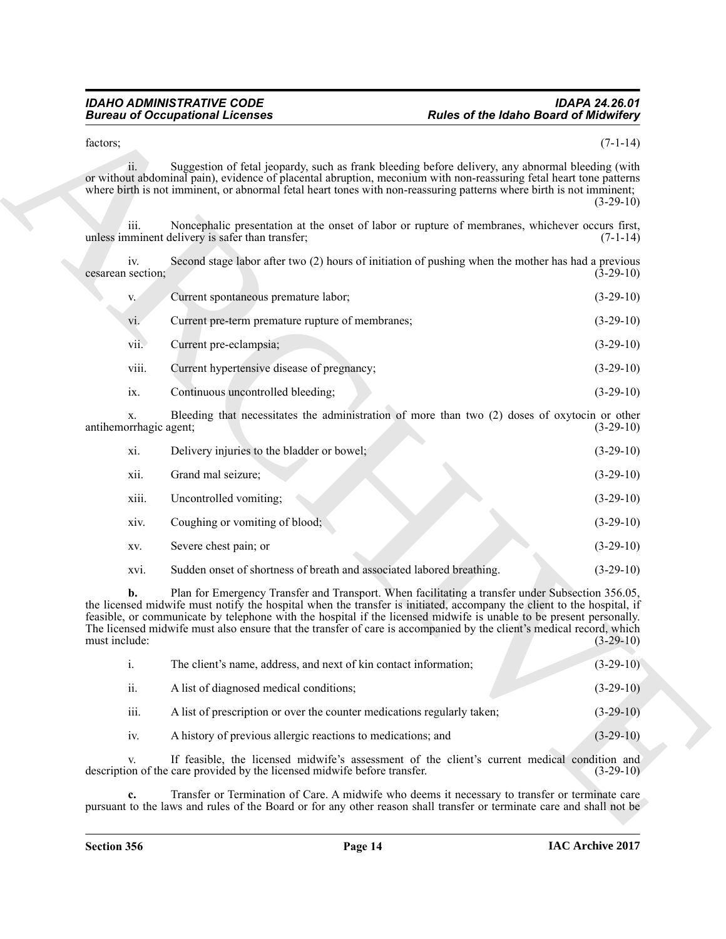# *IDAHO ADMINISTRATIVE CODE IDAPA 24.26.01* **Rules of the Idaho Board of Midwifery**

| V.                         | Current spontaneous premature labor;             | $(3-29-10)$ |
|----------------------------|--------------------------------------------------|-------------|
| $\overline{\mathbf{vi}}$ . | Current pre-term premature rupture of membranes; | $(3-29-10)$ |
| vii.                       | Current pre-eclampsia;                           | $(3-29-10)$ |
| viii.                      | Current hypertensive disease of pregnancy;       | $(3-29-10)$ |
| 1X.                        | Continuous uncontrolled bleeding:                | $(3-29-10)$ |

| factors;                     |                                                                           |                                                                                                                                                                                                                                                                                                                                                                                                                                                                           | $(7-1-14)$  |
|------------------------------|---------------------------------------------------------------------------|---------------------------------------------------------------------------------------------------------------------------------------------------------------------------------------------------------------------------------------------------------------------------------------------------------------------------------------------------------------------------------------------------------------------------------------------------------------------------|-------------|
| ii.                          |                                                                           | Suggestion of fetal jeopardy, such as frank bleeding before delivery, any abnormal bleeding (with<br>or without abdominal pain), evidence of placental abruption, meconium with non-reassuring fetal heart tone patterns<br>where birth is not imminent, or abnormal fetal heart tones with non-reassuring patterns where birth is not imminent;                                                                                                                          | $(3-29-10)$ |
| iii.                         | unless imminent delivery is safer than transfer;                          | Noncephalic presentation at the onset of labor or rupture of membranes, whichever occurs first,                                                                                                                                                                                                                                                                                                                                                                           | $(7-1-14)$  |
| iv.<br>cesarean section;     |                                                                           | Second stage labor after two (2) hours of initiation of pushing when the mother has had a previous                                                                                                                                                                                                                                                                                                                                                                        | $(3-29-10)$ |
| V.                           | Current spontaneous premature labor;                                      |                                                                                                                                                                                                                                                                                                                                                                                                                                                                           | $(3-29-10)$ |
| vi.                          | Current pre-term premature rupture of membranes;                          |                                                                                                                                                                                                                                                                                                                                                                                                                                                                           | $(3-29-10)$ |
| vii.                         | Current pre-eclampsia;                                                    |                                                                                                                                                                                                                                                                                                                                                                                                                                                                           | $(3-29-10)$ |
| viii.                        | Current hypertensive disease of pregnancy;                                |                                                                                                                                                                                                                                                                                                                                                                                                                                                                           | $(3-29-10)$ |
| ix.                          | Continuous uncontrolled bleeding;                                         |                                                                                                                                                                                                                                                                                                                                                                                                                                                                           | $(3-29-10)$ |
| X.<br>antihemorrhagic agent; |                                                                           | Bleeding that necessitates the administration of more than two (2) doses of oxytocin or other                                                                                                                                                                                                                                                                                                                                                                             | $(3-29-10)$ |
| xi.                          | Delivery injuries to the bladder or bowel;                                |                                                                                                                                                                                                                                                                                                                                                                                                                                                                           | $(3-29-10)$ |
| xii.                         | Grand mal seizure;                                                        |                                                                                                                                                                                                                                                                                                                                                                                                                                                                           | $(3-29-10)$ |
| xiii.                        | Uncontrolled vomiting;                                                    |                                                                                                                                                                                                                                                                                                                                                                                                                                                                           | $(3-29-10)$ |
| xiv.                         | Coughing or vomiting of blood;                                            |                                                                                                                                                                                                                                                                                                                                                                                                                                                                           | $(3-29-10)$ |
| XV.                          | Severe chest pain; or                                                     |                                                                                                                                                                                                                                                                                                                                                                                                                                                                           | $(3-29-10)$ |
| XVI.                         | Sudden onset of shortness of breath and associated labored breathing.     |                                                                                                                                                                                                                                                                                                                                                                                                                                                                           | $(3-29-10)$ |
| b.<br>must include:          |                                                                           | Plan for Emergency Transfer and Transport. When facilitating a transfer under Subsection 356.05,<br>the licensed midwife must notify the hospital when the transfer is initiated, accompany the client to the hospital, if<br>feasible, or communicate by telephone with the hospital if the licensed midwife is unable to be present personally.<br>The licensed midwife must also ensure that the transfer of care is accompanied by the client's medical record, which | $(3-29-10)$ |
| $\mathbf{i}$ .               | The client's name, address, and next of kin contact information;          |                                                                                                                                                                                                                                                                                                                                                                                                                                                                           | $(3-29-10)$ |
| ii.                          | A list of diagnosed medical conditions;                                   |                                                                                                                                                                                                                                                                                                                                                                                                                                                                           | $(3-29-10)$ |
| iii.                         | A list of prescription or over the counter medications regularly taken;   |                                                                                                                                                                                                                                                                                                                                                                                                                                                                           | $(3-29-10)$ |
| iv.                          | A history of previous allergic reactions to medications; and              |                                                                                                                                                                                                                                                                                                                                                                                                                                                                           | $(3-29-10)$ |
| V.                           | description of the care provided by the licensed midwife before transfer. | If feasible, the licensed midwife's assessment of the client's current medical condition and                                                                                                                                                                                                                                                                                                                                                                              | $(3-29-10)$ |
|                              |                                                                           | Transfer or Termination of Care. A midwife who deems it necessary to transfer or terminate care<br>pursuant to the laws and rules of the Board or for any other reason shall transfer or terminate care and shall not be                                                                                                                                                                                                                                                  |             |

|      | The client's name, address, and next of kin contact information;        | $(3-29-10)$ |
|------|-------------------------------------------------------------------------|-------------|
| ii.  | A list of diagnosed medical conditions;                                 | $(3-29-10)$ |
| iii. | A list of prescription or over the counter medications regularly taken; | $(3-29-10)$ |
| 1V.  | A history of previous allergic reactions to medications; and            | $(3-29-10)$ |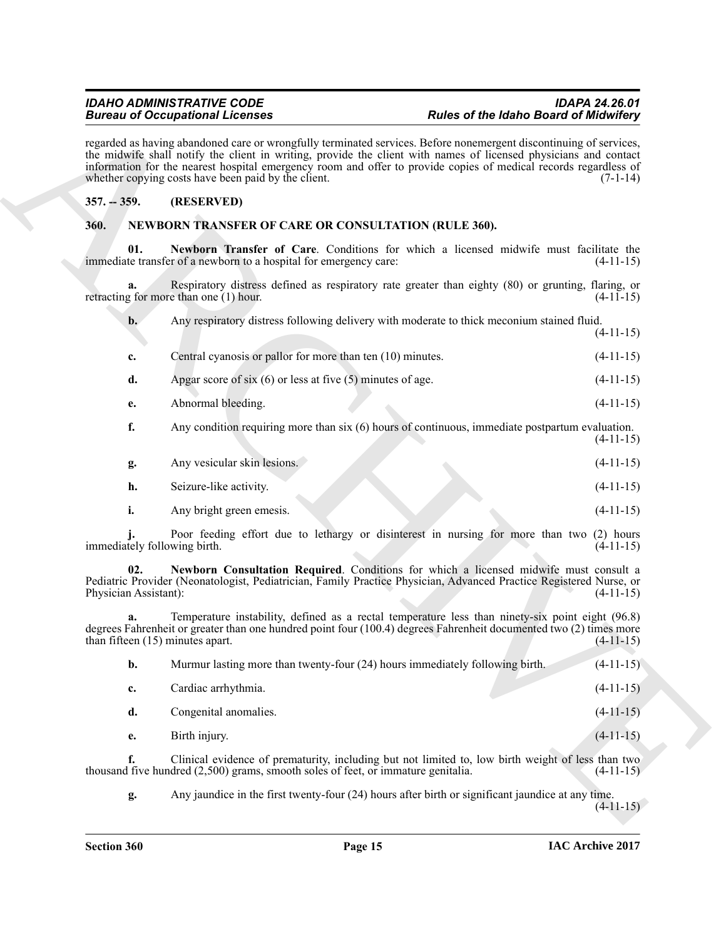# <span id="page-14-0"></span>**357. -- 359. (RESERVED)**

# <span id="page-14-4"></span><span id="page-14-2"></span><span id="page-14-1"></span>**360. NEWBORN TRANSFER OF CARE OR CONSULTATION (RULE 360).**

| <b>Bureau of Occupational Licenses</b><br><b>Rules of the Idaho Board of Midwifery</b><br>regarded as having abandoned care or wrongfully terminated services. Before nonemergent discontinuing of services,<br>the midwife shall notify the client in writing, provide the client with names of licensed physicians and contact<br>information for the nearest hospital emergency room and offer to provide copies of medical records regardless of<br>whether copying costs have been paid by the client.<br>$(7-1-14)$ |                                                                                     |                                                                                                                                                                                                                        |             |
|---------------------------------------------------------------------------------------------------------------------------------------------------------------------------------------------------------------------------------------------------------------------------------------------------------------------------------------------------------------------------------------------------------------------------------------------------------------------------------------------------------------------------|-------------------------------------------------------------------------------------|------------------------------------------------------------------------------------------------------------------------------------------------------------------------------------------------------------------------|-------------|
|                                                                                                                                                                                                                                                                                                                                                                                                                                                                                                                           |                                                                                     | $357. - 359.$                                                                                                                                                                                                          | (RESERVED)  |
| 360.                                                                                                                                                                                                                                                                                                                                                                                                                                                                                                                      | NEWBORN TRANSFER OF CARE OR CONSULTATION (RULE 360).                                |                                                                                                                                                                                                                        |             |
| 01.                                                                                                                                                                                                                                                                                                                                                                                                                                                                                                                       | immediate transfer of a newborn to a hospital for emergency care:                   | Newborn Transfer of Care. Conditions for which a licensed midwife must facilitate the                                                                                                                                  | $(4-11-15)$ |
| a.                                                                                                                                                                                                                                                                                                                                                                                                                                                                                                                        | retracting for more than one $(1)$ hour.                                            | Respiratory distress defined as respiratory rate greater than eighty (80) or grunting, flaring, or                                                                                                                     | $(4-11-15)$ |
| b.                                                                                                                                                                                                                                                                                                                                                                                                                                                                                                                        |                                                                                     | Any respiratory distress following delivery with moderate to thick meconium stained fluid.                                                                                                                             | $(4-11-15)$ |
| c.                                                                                                                                                                                                                                                                                                                                                                                                                                                                                                                        | Central cyanosis or pallor for more than ten (10) minutes.                          |                                                                                                                                                                                                                        | $(4-11-15)$ |
| d.                                                                                                                                                                                                                                                                                                                                                                                                                                                                                                                        | Apgar score of six $(6)$ or less at five $(5)$ minutes of age.                      |                                                                                                                                                                                                                        | $(4-11-15)$ |
| e.                                                                                                                                                                                                                                                                                                                                                                                                                                                                                                                        | Abnormal bleeding.                                                                  |                                                                                                                                                                                                                        | $(4-11-15)$ |
| f.                                                                                                                                                                                                                                                                                                                                                                                                                                                                                                                        |                                                                                     | Any condition requiring more than six (6) hours of continuous, immediate postpartum evaluation.                                                                                                                        | $(4-11-15)$ |
| g.                                                                                                                                                                                                                                                                                                                                                                                                                                                                                                                        | Any vesicular skin lesions.                                                         |                                                                                                                                                                                                                        | $(4-11-15)$ |
| h.                                                                                                                                                                                                                                                                                                                                                                                                                                                                                                                        | Seizure-like activity.                                                              |                                                                                                                                                                                                                        | $(4-11-15)$ |
| i.                                                                                                                                                                                                                                                                                                                                                                                                                                                                                                                        | Any bright green emesis.                                                            |                                                                                                                                                                                                                        | $(4-11-15)$ |
| immediately following birth.                                                                                                                                                                                                                                                                                                                                                                                                                                                                                              |                                                                                     | Poor feeding effort due to lethargy or disinterest in nursing for more than two (2) hours                                                                                                                              | $(4-11-15)$ |
| 02.<br>Physician Assistant):                                                                                                                                                                                                                                                                                                                                                                                                                                                                                              |                                                                                     | Newborn Consultation Required. Conditions for which a licensed midwife must consult a<br>Pediatric Provider (Neonatologist, Pediatrician, Family Practice Physician, Advanced Practice Registered Nurse, or            | $(4-11-15)$ |
|                                                                                                                                                                                                                                                                                                                                                                                                                                                                                                                           | than fifteen $(15)$ minutes apart.                                                  | Temperature instability, defined as a rectal temperature less than ninety-six point eight (96.8)<br>degrees Fahrenheit or greater than one hundred point four (100.4) degrees Fahrenheit documented two (2) times more | $(4-11-15)$ |
| b.                                                                                                                                                                                                                                                                                                                                                                                                                                                                                                                        |                                                                                     | Murmur lasting more than twenty-four (24) hours immediately following birth.                                                                                                                                           | $(4-11-15)$ |
| c.                                                                                                                                                                                                                                                                                                                                                                                                                                                                                                                        | Cardiac arrhythmia.                                                                 |                                                                                                                                                                                                                        | $(4-11-15)$ |
| d.                                                                                                                                                                                                                                                                                                                                                                                                                                                                                                                        | Congenital anomalies.                                                               |                                                                                                                                                                                                                        | $(4-11-15)$ |
| e.                                                                                                                                                                                                                                                                                                                                                                                                                                                                                                                        | Birth injury.                                                                       |                                                                                                                                                                                                                        | $(4-11-15)$ |
| f.                                                                                                                                                                                                                                                                                                                                                                                                                                                                                                                        | thousand five hundred $(2,500)$ grams, smooth soles of feet, or immature genitalia. | Clinical evidence of prematurity, including but not limited to, low birth weight of less than two                                                                                                                      | $(4-11-15)$ |
|                                                                                                                                                                                                                                                                                                                                                                                                                                                                                                                           |                                                                                     |                                                                                                                                                                                                                        |             |

<span id="page-14-3"></span>

| b. | Murmur lasting more than twenty-four (24) hours immediately following birth. | $(4-11-15)$ |
|----|------------------------------------------------------------------------------|-------------|
| c. | Cardiac arrhythmia.                                                          | $(4-11-15)$ |
| d. | Congenital anomalies.                                                        | $(4-11-15)$ |
| е. | Birth injury.                                                                | $(4-11-15)$ |
|    |                                                                              |             |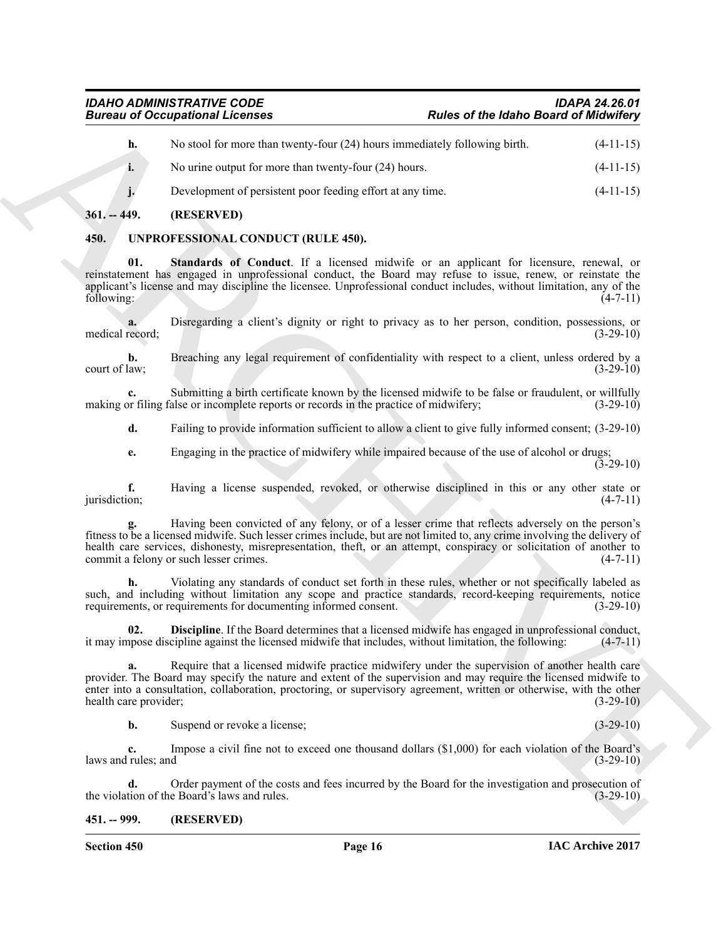| <b>Bureau of Occupational Licenses</b> |                                                                                                                                                                                                                                                                                                                                                                                                 | <b>Rules of the Idaho Board of Midwifery</b> |               |
|----------------------------------------|-------------------------------------------------------------------------------------------------------------------------------------------------------------------------------------------------------------------------------------------------------------------------------------------------------------------------------------------------------------------------------------------------|----------------------------------------------|---------------|
| h.                                     | No stool for more than twenty-four (24) hours immediately following birth.                                                                                                                                                                                                                                                                                                                      |                                              | $(4-11-15)$   |
| i.                                     | No urine output for more than twenty-four $(24)$ hours.                                                                                                                                                                                                                                                                                                                                         |                                              | $(4-11-15)$   |
| j.                                     | Development of persistent poor feeding effort at any time.                                                                                                                                                                                                                                                                                                                                      |                                              | $(4-11-15)$   |
| $361. - 449.$                          | (RESERVED)                                                                                                                                                                                                                                                                                                                                                                                      |                                              |               |
| 450.                                   | UNPROFESSIONAL CONDUCT (RULE 450).                                                                                                                                                                                                                                                                                                                                                              |                                              |               |
| 01.<br>following:                      | <b>Standards of Conduct</b> . If a licensed midwife or an applicant for licensure, renewal, or<br>reinstatement has engaged in unprofessional conduct, the Board may refuse to issue, renew, or reinstate the<br>applicant's license and may discipline the licensee. Unprofessional conduct includes, without limitation, any of the                                                           |                                              | $(4-7-11)$    |
| medical record;                        | Disregarding a client's dignity or right to privacy as to her person, condition, possessions, or                                                                                                                                                                                                                                                                                                |                                              | $(3-29-10)$   |
| b.<br>court of law;                    | Breaching any legal requirement of confidentiality with respect to a client, unless ordered by a                                                                                                                                                                                                                                                                                                |                                              | $(3-29-10)$   |
|                                        | Submitting a birth certificate known by the licensed midwife to be false or fraudulent, or willfully<br>making or filing false or incomplete reports or records in the practice of midwifery;                                                                                                                                                                                                   |                                              | $(3-29-10)$   |
| d.                                     | Failing to provide information sufficient to allow a client to give fully informed consent; (3-29-10)                                                                                                                                                                                                                                                                                           |                                              |               |
| e.                                     | Engaging in the practice of midwifery while impaired because of the use of alcohol or drugs;                                                                                                                                                                                                                                                                                                    |                                              | $(3-29-10)$   |
| f.<br>jurisdiction;                    | Having a license suspended, revoked, or otherwise disciplined in this or any other state or                                                                                                                                                                                                                                                                                                     |                                              | $(4-7-11)$    |
|                                        | Having been convicted of any felony, or of a lesser crime that reflects adversely on the person's<br>fitness to be a licensed midwife. Such lesser crimes include, but are not limited to, any crime involving the delivery of<br>health care services, dishonesty, misrepresentation, theft, or an attempt, conspiracy or solicitation of another to<br>commit a felony or such lesser crimes. |                                              | $(4-7-11)$    |
| h.                                     | Violating any standards of conduct set forth in these rules, whether or not specifically labeled as<br>such, and including without limitation any scope and practice standards, record-keeping requirements, notice<br>requirements, or requirements for documenting informed consent.                                                                                                          |                                              | $(3-29-10)$   |
| 02.                                    | <b>Discipline</b> . If the Board determines that a licensed midwife has engaged in unprofessional conduct,<br>it may impose discipline against the licensed midwife that includes, without limitation, the following:                                                                                                                                                                           |                                              | $(4 - / -11)$ |
| a.<br>health care provider;            | Require that a licensed midwife practice midwifery under the supervision of another health care<br>provider. The Board may specify the nature and extent of the supervision and may require the licensed midwife to<br>enter into a consultation, collaboration, proctoring, or supervisory agreement, written or otherwise, with the other                                                     |                                              | $(3-29-10)$   |
| b.                                     | Suspend or revoke a license;                                                                                                                                                                                                                                                                                                                                                                    |                                              | $(3-29-10)$   |
| c.<br>laws and rules; and              | Impose a civil fine not to exceed one thousand dollars (\$1,000) for each violation of the Board's                                                                                                                                                                                                                                                                                              |                                              | $(3-29-10)$   |
| d.                                     | Order payment of the costs and fees incurred by the Board for the investigation and prosecution of<br>the violation of the Board's laws and rules.                                                                                                                                                                                                                                              |                                              | $(3-29-10)$   |
| $451. - 999.$                          | (RESERVED)                                                                                                                                                                                                                                                                                                                                                                                      |                                              |               |

# <span id="page-15-5"></span><span id="page-15-3"></span><span id="page-15-1"></span><span id="page-15-0"></span>**450. UNPROFESSIONAL CONDUCT (RULE 450).**

<span id="page-15-4"></span><span id="page-15-2"></span>**Section 450 Page 16**